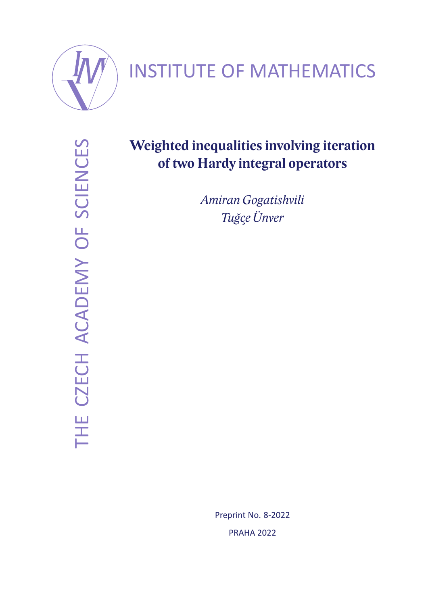

# INSTITUTE OF MATHEMATICS

THE CZECH ACADEMY OF SCIENCES THE CZECH ACADEMY OF SCIENCES

# **Weighted inequalities involving iteration of two Hardy integral operators**

*Amiran Gogatishvili Tugc¸e ˘ Unver ¨*

> Preprint No. 8-2022 PRAHA 2022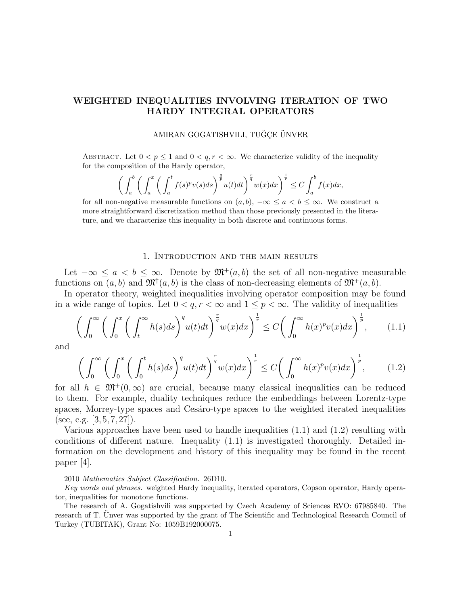### WEIGHTED INEQUALITIES INVOLVING ITERATION OF TWO HARDY INTEGRAL OPERATORS

#### AMIRAN GOGATISHVILI, TUĞÇE ÜNVER

ABSTRACT. Let  $0 < p \leq 1$  and  $0 < q, r < \infty$ . We characterize validity of the inequality for the composition of the Hardy operator,

$$
\bigg(\int_a^b \bigg(\int_a^x \bigg(\int_a^t f(s)^p v(s) ds\bigg)^{\frac{q}{p}} u(t) dt\bigg)^{\frac{r}{q}} w(x) dx\bigg)^{\frac{1}{r}} \le C \int_a^b f(x) dx,
$$

for all non-negative measurable functions on  $(a, b)$ ,  $-\infty \le a < b \le \infty$ . We construct a more straightforward discretization method than those previously presented in the literature, and we characterize this inequality in both discrete and continuous forms.

#### 1. Introduction and the main results

Let  $-\infty \le a < b \le \infty$ . Denote by  $\mathfrak{M}^+(a, b)$  the set of all non-negative measurable functions on  $(a, b)$  and  $\mathfrak{M}^{\uparrow}(a, b)$  is the class of non-decreasing elements of  $\mathfrak{M}^+(a, b)$ .

In operator theory, weighted inequalities involving operator composition may be found in a wide range of topics. Let  $0 < q, r < \infty$  and  $1 \leq p < \infty$ . The validity of inequalities

$$
\left(\int_0^\infty \left(\int_0^x \left(\int_t^\infty h(s)ds\right)^q u(t)dt\right)^{\frac{r}{q}} w(x)dx\right)^{\frac{1}{r}} \le C\left(\int_0^\infty h(x)^p v(x)dx\right)^{\frac{1}{p}},\tag{1.1}
$$

and

$$
\left(\int_0^\infty \left(\int_0^x \left(\int_0^t h(s)ds\right)^q u(t)dt\right)^{\frac{r}{q}} w(x)dx\right)^{\frac{1}{r}} \le C\left(\int_0^\infty h(x)^p v(x)dx\right)^{\frac{1}{p}},\tag{1.2}
$$

for all  $h \in \mathfrak{M}^+(0,\infty)$  are crucial, because many classical inequalities can be reduced to them. For example, duality techniques reduce the embeddings between Lorentz-type spaces, Morrey-type spaces and Cesáro-type spaces to the weighted iterated inequalities (see, e.g.  $[3, 5, 7, 27]$ ).

Various approaches have been used to handle inequalities (1.1) and (1.2) resulting with conditions of different nature. Inequality (1.1) is investigated thoroughly. Detailed information on the development and history of this inequality may be found in the recent paper [4].

<sup>2010</sup> Mathematics Subject Classification. 26D10.

Key words and phrases. weighted Hardy inequality, iterated operators, Copson operator, Hardy operator, inequalities for monotone functions.

The research of A. Gogatishvili was supported by Czech Academy of Sciences RVO: 67985840. The research of T. Unver was supported by the grant of The Scientific and Technological Research Council of Turkey (TUBITAK), Grant No: 1059B192000075.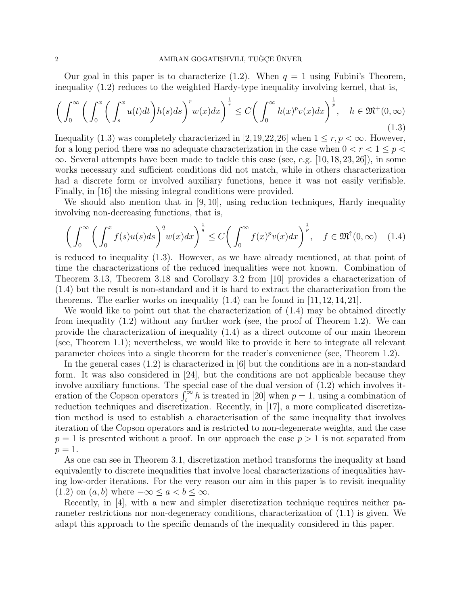Our goal in this paper is to characterize (1.2). When  $q = 1$  using Fubini's Theorem, inequality (1.2) reduces to the weighted Hardy-type inequality involving kernel, that is,

$$
\left(\int_0^\infty \left(\int_0^x \left(\int_s^x u(t)dt\right)h(s)ds\right)^r w(x)dx\right)^{\frac{1}{r}} \le C\left(\int_0^\infty h(x)^pv(x)dx\right)^{\frac{1}{p}}, \quad h \in \mathfrak{M}^+(0,\infty)
$$
\n(1.3)

Inequality (1.3) was completely characterized in [2,19,22,26] when  $1 \leq r, p < \infty$ . However, for a long period there was no adequate characterization in the case when  $0 < r < 1 \leq p <$  $\infty$ . Several attempts have been made to tackle this case (see, e.g. [10, 18, 23, 26]), in some works necessary and sufficient conditions did not match, while in others characterization had a discrete form or involved auxiliary functions, hence it was not easily verifiable. Finally, in [16] the missing integral conditions were provided.

We should also mention that in [9, 10], using reduction techniques, Hardy inequality involving non-decreasing functions, that is,

$$
\left(\int_0^\infty \left(\int_0^x f(s)u(s)ds\right)^q w(x)dx\right)^{\frac{1}{q}} \le C\left(\int_0^\infty f(x)^p v(x)dx\right)^{\frac{1}{p}}, \quad f \in \mathfrak{M}^\uparrow(0,\infty) \quad (1.4)
$$

is reduced to inequality (1.3). However, as we have already mentioned, at that point of time the characterizations of the reduced inequalities were not known. Combination of Theorem 3.13, Theorem 3.18 and Corollary 3.2 from [10] provides a characterization of (1.4) but the result is non-standard and it is hard to extract the characterization from the theorems. The earlier works on inequality  $(1.4)$  can be found in  $[11, 12, 14, 21]$ .

We would like to point out that the characterization of  $(1.4)$  may be obtained directly from inequality (1.2) without any further work (see, the proof of Theorem 1.2). We can provide the characterization of inequality (1.4) as a direct outcome of our main theorem (see, Theorem 1.1); nevertheless, we would like to provide it here to integrate all relevant parameter choices into a single theorem for the reader's convenience (see, Theorem 1.2).

In the general cases (1.2) is characterized in [6] but the conditions are in a non-standard form. It was also considered in [24], but the conditions are not applicable because they involve auxiliary functions. The special case of the dual version of (1.2) which involves iteration of the Copson operators  $\int_t^{\infty} h$  is treated in [20] when  $p = 1$ , using a combination of reduction techniques and discretization. Recently, in [17], a more complicated discretization method is used to establish a characterisation of the same inequality that involves iteration of the Copson operators and is restricted to non-degenerate weights, and the case  $p = 1$  is presented without a proof. In our approach the case  $p > 1$  is not separated from  $p=1$ .

As one can see in Theorem 3.1, discretization method transforms the inequality at hand equivalently to discrete inequalities that involve local characterizations of inequalities having low-order iterations. For the very reason our aim in this paper is to revisit inequality (1.2) on  $(a, b)$  where  $-\infty \le a < b \le \infty$ .

Recently, in [4], with a new and simpler discretization technique requires neither parameter restrictions nor non-degeneracy conditions, characterization of (1.1) is given. We adapt this approach to the specific demands of the inequality considered in this paper.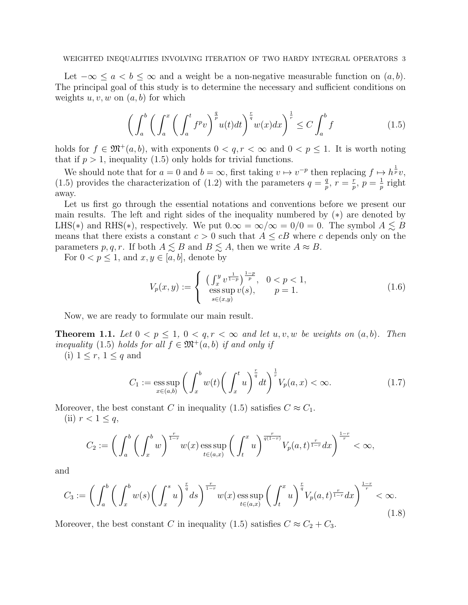Let  $-\infty \le a < b \le \infty$  and a weight be a non-negative measurable function on  $(a, b)$ . The principal goal of this study is to determine the necessary and sufficient conditions on weights  $u, v, w$  on  $(a, b)$  for which

$$
\left(\int_{a}^{b} \left(\int_{a}^{x} \left(\int_{a}^{t} f^{p}v\right)^{\frac{q}{p}} u(t)dt\right)^{\frac{r}{q}} w(x)dx\right)^{\frac{1}{r}} \leq C \int_{a}^{b} f \tag{1.5}
$$

holds for  $f \in \mathfrak{M}^+(a, b)$ , with exponents  $0 < q, r < \infty$  and  $0 < p \leq 1$ . It is worth noting that if  $p > 1$ , inequality (1.5) only holds for trivial functions.

We should note that for  $a = 0$  and  $b = \infty$ , first taking  $v \mapsto v^{-p}$  then replacing  $f \mapsto h^{\frac{1}{p}}v$ , (1.5) provides the characterization of (1.2) with the parameters  $q = \frac{q}{n}$  $\frac{q}{p}, r = \frac{r}{p}$  $\frac{r}{p}, p = \frac{1}{p}$  $\frac{1}{p}$  right away.

Let us first go through the essential notations and conventions before we present our main results. The left and right sides of the inequality numbered by (∗) are denoted by LHS(\*) and RHS(\*), respectively. We put  $0.\infty = \infty/\infty = 0/0 = 0$ . The symbol  $A \lesssim B$ means that there exists a constant  $c > 0$  such that  $A \leq cB$  where c depends only on the parameters p, q, r. If both  $A \lesssim B$  and  $B \lesssim A$ , then we write  $A \approx B$ .

For  $0 < p \leq 1$ , and  $x, y \in [a, b]$ , denote by

$$
V_p(x,y) := \begin{cases} \left(\int_x^y v^{\frac{1}{1-p}}\right)^{\frac{1-p}{p}}, & 0 < p < 1, \\ \text{ess}\sup_{s \in (x,y)} v(s), & p = 1. \end{cases}
$$
 (1.6)

Now, we are ready to formulate our main result.

**Theorem 1.1.** Let  $0 < p \leq 1$ ,  $0 < q, r < \infty$  and let u, v, w be weights on  $(a, b)$ . Then inequality (1.5) holds for all  $f \in \mathfrak{M}^+(a, b)$  if and only if

(i)  $1 \leq r, 1 \leq q$  and

$$
C_1 := \underset{x \in (a,b)}{\mathrm{ess\,sup}} \left( \int_x^b w(t) \left( \int_x^t u \right)^{\frac{r}{q}} dt \right)^{\frac{1}{r}} V_p(a, x) < \infty. \tag{1.7}
$$

Moreover, the best constant C in inequality (1.5) satisfies  $C \approx C_1$ .

(ii)  $r < 1 \leq q$ ,

$$
C_2 := \left(\int_a^b \left(\int_x^b w\right)^{\frac{r}{1-r}} w(x) \operatorname{ess} \sup_{t \in (a,x)} \left(\int_t^x u\right)^{\frac{r}{q(1-r)}} V_p(a,t)^{\frac{r}{1-r}} dx\right)^{\frac{1-r}{r}} < \infty,
$$

and

$$
C_3 := \left(\int_a^b \left(\int_x^b w(s) \left(\int_x^s u\right)^{\frac{r}{q}} ds\right)^{\frac{r}{1-r}} w(x) \operatorname{ess} \sup_{t \in (a,x)} \left(\int_t^x u\right)^{\frac{r}{q}} V_p(a,t)^{\frac{r}{1-r}} dx\right)^{\frac{1-r}{r}} < \infty. \tag{1.8}
$$

Moreover, the best constant C in inequality (1.5) satisfies  $C \approx C_2 + C_3$ .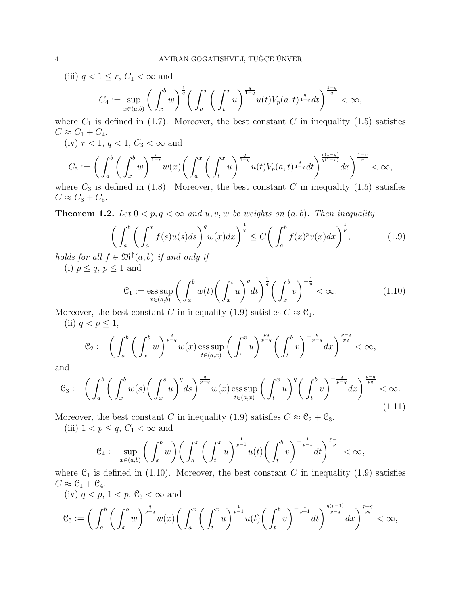(iii)  $q < 1 \leq r$ ,  $C_1 < \infty$  and

$$
C_4 := \sup_{x \in (a,b)} \left( \int_x^b w \right)^{\frac{1}{q}} \left( \int_a^x \left( \int_t^x u \right)^{\frac{q}{1-q}} u(t) V_p(a,t)^{\frac{q}{1-q}} dt \right)^{\frac{1-q}{q}} < \infty,
$$

where  $C_1$  is defined in (1.7). Moreover, the best constant C in inequality (1.5) satisfies  $C \approx C_1 + C_4.$ 

(iv)  $r < 1, q < 1, C_3 < \infty$  and

$$
C_5 := \bigg(\int_a^b \bigg(\int_x^b w\bigg)^{\frac{r}{1-r}} w(x) \bigg(\int_a^x \bigg(\int_t^x u\bigg)^{\frac{q}{1-q}} u(t) V_p(a,t)^{\frac{q}{1-q}} dt\bigg)^{\frac{r(1-q)}{q(1-r)}} dx\bigg)^{\frac{1-r}{r}} < \infty,
$$

where  $C_3$  is defined in (1.8). Moreover, the best constant C in inequality (1.5) satisfies  $C \approx C_3 + C_5.$ 

**Theorem 1.2.** Let  $0 < p, q < \infty$  and  $u, v, w$  be weights on  $(a, b)$ . Then inequality

$$
\left(\int_{a}^{b} \left(\int_{a}^{x} f(s)u(s)ds\right)^{q} w(x)dx\right)^{\frac{1}{q}} \le C\left(\int_{a}^{b} f(x)^{p}v(x)dx\right)^{\frac{1}{p}},\tag{1.9}
$$

holds for all  $f \in \mathfrak{M}^{\uparrow}(a, b)$  if and only if (i)  $p \leq q, p \leq 1$  and

$$
\mathcal{C}_1 := \underset{x \in (a,b)}{\mathrm{ess\,sup}} \left( \int_x^b w(t) \left( \int_x^t u \right)^q dt \right)^{\frac{1}{q}} \left( \int_x^b v \right)^{-\frac{1}{p}} < \infty. \tag{1.10}
$$

Moreover, the best constant C in inequality (1.9) satisfies  $C \approx \mathcal{C}_1$ .

(ii)  $q < p \leq 1$ ,

$$
\mathcal{C}_2 := \bigg( \int_a^b \bigg( \int_x^b w \bigg)^{\frac{q}{p-q}} w(x) \operatorname{ess} \sup_{t \in (a,x)} \bigg( \int_t^x u \bigg)^{\frac{pq}{p-q}} \bigg( \int_t^b v \bigg)^{-\frac{q}{p-q}} dx \bigg)^{\frac{p-q}{pq}} < \infty,
$$

and

$$
\mathcal{C}_3 := \left( \int_a^b \left( \int_x^b w(s) \left( \int_x^s u \right)^q ds \right)^{\frac{q}{p-q}} w(x) \operatorname{ess} \sup_{t \in (a,x)} \left( \int_t^x u \right)^q \left( \int_t^b v \right)^{-\frac{q}{p-q}} dx \right)^{\frac{p-q}{pq}} < \infty. \tag{1.11}
$$

Moreover, the best constant C in inequality (1.9) satisfies  $C \approx C_2 + C_3$ .

(iii)  $1 < p \leq q$ ,  $C_1 < \infty$  and

$$
\mathcal{C}_4:=\sup_{x\in(a,b)}\bigg(\int_x^b w\bigg)\bigg(\int_a^x \bigg(\int_t^x u\bigg)^{\frac{1}{p-1}}u(t)\bigg(\int_t^b v\bigg)^{-\frac{1}{p-1}}dt\bigg)^{\frac{p-1}{p}}<\infty,
$$

where  $C_1$  is defined in (1.10). Moreover, the best constant C in inequality (1.9) satisfies  $C \approx \mathcal{C}_1 + \mathcal{C}_4.$ 

(iv)  $q < p$ ,  $1 < p$ ,  $\mathcal{C}_3 < \infty$  and

$$
\mathcal{C}_5:=\bigg(\int_a^b\bigg(\int_x^b w\bigg)^{\frac{q}{p-q}} w(x)\bigg(\int_a^x\bigg(\int_t^x u\bigg)^{\frac{1}{p-1}} u(t)\bigg(\int_t^b v\bigg)^{-\frac{1}{p-1}} dt\bigg)^{\frac{q(p-1)}{p-q}} dx\bigg)^{\frac{p-q}{pq}} <\infty,
$$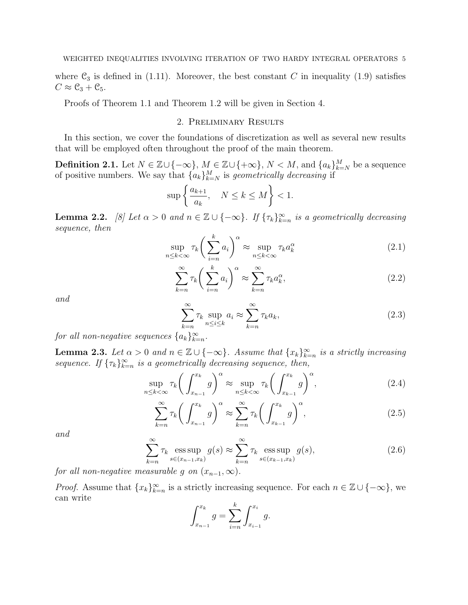where  $\mathcal{C}_3$  is defined in (1.11). Moreover, the best constant C in inequality (1.9) satisfies  $C \approx \mathcal{C}_3 + \mathcal{C}_5.$ 

Proofs of Theorem 1.1 and Theorem 1.2 will be given in Section 4.

#### 2. Preliminary Results

In this section, we cover the foundations of discretization as well as several new results that will be employed often throughout the proof of the main theorem.

**Definition 2.1.** Let  $N \in \mathbb{Z} \cup \{-\infty\}$ ,  $M \in \mathbb{Z} \cup \{+\infty\}$ ,  $N < M$ , and  $\{a_k\}_{k=N}^M$  be a sequence of positive numbers. We say that  ${a_k}_{k=N}^M$  is geometrically decreasing if

$$
\sup \left\{ \frac{a_{k+1}}{a_k}, \quad N \le k \le M \right\} < 1.
$$

**Lemma 2.2.** [8] Let  $\alpha > 0$  and  $n \in \mathbb{Z} \cup \{-\infty\}$ . If  $\{\tau_k\}_{k=n}^{\infty}$  is a geometrically decreasing sequence, then

$$
\sup_{n \le k < \infty} \tau_k \bigg( \sum_{i=n}^k a_i \bigg)^\alpha \approx \sup_{n \le k < \infty} \tau_k a_k^\alpha \tag{2.1}
$$

$$
\sum_{k=n}^{\infty} \tau_k \bigg(\sum_{i=n}^{k} a_i\bigg)^{\alpha} \approx \sum_{k=n}^{\infty} \tau_k a_k^{\alpha},\tag{2.2}
$$

and

$$
\sum_{k=n}^{\infty} \tau_k \sup_{n \le i \le k} a_i \approx \sum_{k=n}^{\infty} \tau_k a_k,
$$
\n(2.3)

for all non-negative sequences  $\{a_k\}_{k=n}^{\infty}$ .

**Lemma 2.3.** Let  $\alpha > 0$  and  $n \in \mathbb{Z} \cup \{-\infty\}$ . Assume that  $\{x_k\}_{k=n}^{\infty}$  is a strictly increasing sequence. If  $\{\tau_k\}_{k=n}^{\infty}$  is a geometrically decreasing sequence, then,

$$
\sup_{n \le k < \infty} \tau_k \bigg( \int_{x_{n-1}}^{x_k} g \bigg)^{\alpha} \approx \sup_{n \le k < \infty} \tau_k \bigg( \int_{x_{k-1}}^{x_k} g \bigg)^{\alpha},\tag{2.4}
$$

$$
\sum_{k=n}^{\infty} \tau_k \bigg( \int_{x_{n-1}}^{x_k} g \bigg)^{\alpha} \approx \sum_{k=n}^{\infty} \tau_k \bigg( \int_{x_{k-1}}^{x_k} g \bigg)^{\alpha},\tag{2.5}
$$

and

$$
\sum_{k=n}^{\infty} \tau_k \operatorname*{ess\,sup}_{s \in (x_{n-1}, x_k)} g(s) \approx \sum_{k=n}^{\infty} \tau_k \operatorname*{ess\,sup}_{s \in (x_{k-1}, x_k)} g(s), \tag{2.6}
$$

for all non-negative measurable g on  $(x_{n-1}, \infty)$ .

*Proof.* Assume that  ${x_k}_{k=n}^{\infty}$  is a strictly increasing sequence. For each  $n \in \mathbb{Z} \cup \{-\infty\}$ , we can write

$$
\int_{x_{n-1}}^{x_k} g = \sum_{i=n}^k \int_{x_{i-1}}^{x_i} g.
$$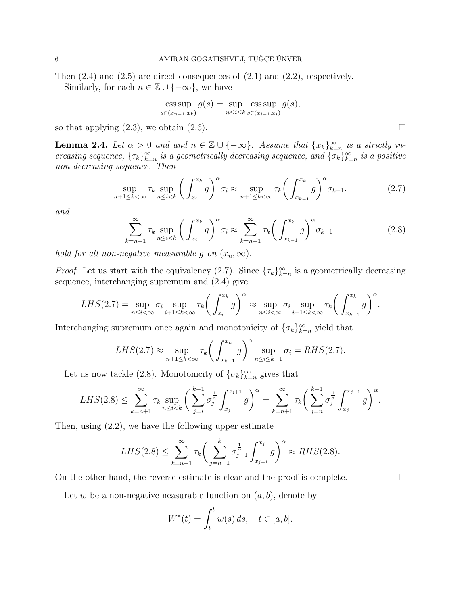Then  $(2.4)$  and  $(2.5)$  are direct consequences of  $(2.1)$  and  $(2.2)$ , respectively.

Similarly, for each  $n \in \mathbb{Z} \cup \{-\infty\}$ , we have

$$
\operatorname{ess} \sup_{s \in (x_{n-1}, x_k)} g(s) = \sup_{n \le i \le k} \operatorname{ess} \sup_{s \in (x_{i-1}, x_i)} g(s),
$$

so that applying  $(2.3)$ , we obtain  $(2.6)$ .

**Lemma 2.4.** Let  $\alpha > 0$  and and  $n \in \mathbb{Z} \cup \{-\infty\}$ . Assume that  $\{x_k\}_{k=n}^{\infty}$  is a strictly increasing sequence,  $\{\tau_k\}_{k=n}^{\infty}$  is a geometrically decreasing sequence, and  $\{\sigma_k\}_{k=n}^{\infty}$  is a positive non-decreasing sequence. Then

$$
\sup_{n+1\leq k<\infty} \tau_k \sup_{n\leq i
$$

and

$$
\sum_{k=n+1}^{\infty} \tau_k \sup_{n \le i < k} \left( \int_{x_i}^{x_k} g \right)^{\alpha} \sigma_i \approx \sum_{k=n+1}^{\infty} \tau_k \left( \int_{x_{k-1}}^{x_k} g \right)^{\alpha} \sigma_{k-1}.
$$
\n(2.8)

hold for all non-negative measurable g on  $(x_n, \infty)$ .

*Proof.* Let us start with the equivalency (2.7). Since  $\{\tau_k\}_{k=n}^{\infty}$  is a geometrically decreasing sequence, interchanging supremum and (2.4) give

$$
LHS(2.7) = \sup_{n \leq i < \infty} \sigma_i \sup_{i+1 \leq k < \infty} \tau_k \bigg( \int_{x_i}^{x_k} g \bigg)^{\alpha} \approx \sup_{n \leq i < \infty} \sigma_i \sup_{i+1 \leq k < \infty} \tau_k \bigg( \int_{x_{k-1}}^{x_k} g \bigg)^{\alpha}.
$$

Interchanging supremum once again and monotonicity of  $\{\sigma_k\}_{k=n}^{\infty}$  yield that

$$
LHS(2.7) \approx \sup_{n+1 \le k < \infty} \tau_k \bigg( \int_{x_{k-1}}^{x_k} g \bigg)^{\alpha} \sup_{n \le i \le k-1} \sigma_i = RHS(2.7).
$$

Let us now tackle (2.8). Monotonicity of  $\{\sigma_k\}_{k=n}^{\infty}$  gives that

$$
LHS(2.8) \leq \sum_{k=n+1}^{\infty} \tau_k \sup_{n \leq i < k} \left( \sum_{j=i}^{k-1} \sigma_j^{\frac{1}{\alpha}} \int_{x_j}^{x_{j+1}} g \right)^{\alpha} = \sum_{k=n+1}^{\infty} \tau_k \left( \sum_{j=n}^{k-1} \sigma_j^{\frac{1}{\alpha}} \int_{x_j}^{x_{j+1}} g \right)^{\alpha}.
$$

Then, using (2.2), we have the following upper estimate

$$
LHS(2.8) \le \sum_{k=n+1}^{\infty} \tau_k \bigg( \sum_{j=n+1}^{k} \sigma_{j-1}^{\frac{1}{\alpha}} \int_{x_{j-1}}^{x_j} g \bigg)^{\alpha} \approx RHS(2.8).
$$

On the other hand, the reverse estimate is clear and the proof is complete.  $\Box$ 

Let w be a non-negative neasurable function on  $(a, b)$ , denote by

$$
W^*(t) = \int_t^b w(s) \, ds, \quad t \in [a, b].
$$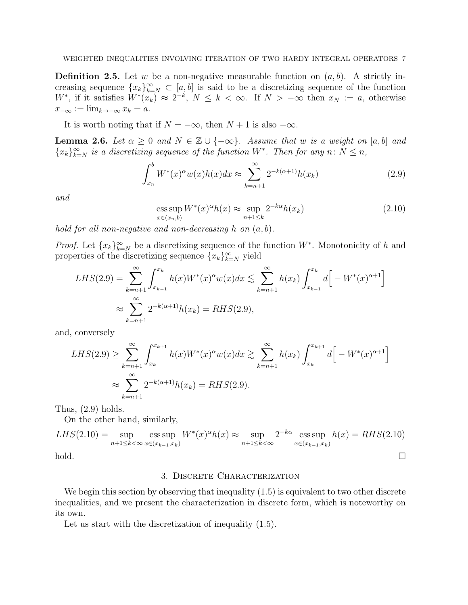**Definition 2.5.** Let w be a non-negative measurable function on  $(a, b)$ . A strictly increasing sequence  $\{x_k\}_{k=N}^{\infty} \subset [a, b]$  is said to be a discretizing sequence of the function W<sup>\*</sup>, if it satisfies  $W^*(x_k) \approx 2^{-k}$ ,  $N \leq k < \infty$ . If  $N > -\infty$  then  $x_N := a$ , otherwise  $x_{-\infty} := \lim_{k \to -\infty} x_k = a.$ 

It is worth noting that if  $N = -\infty$ , then  $N + 1$  is also  $-\infty$ .

**Lemma 2.6.** Let  $\alpha \geq 0$  and  $N \in \mathbb{Z} \cup \{-\infty\}$ . Assume that w is a weight on [a, b] and  ${x_k}_{k=N}^{\infty}$  is a discretizing sequence of the function  $W^*$ . Then for any  $n: N \leq n$ ,

$$
\int_{x_n}^b W^*(x)^\alpha w(x)h(x)dx \approx \sum_{k=n+1}^\infty 2^{-k(\alpha+1)}h(x_k)
$$
\n(2.9)

and

$$
\underset{x \in (x_n, b)}{\operatorname{ess\,sup}} W^*(x)^\alpha h(x) \approx \underset{n+1 \le k}{\operatorname{sup}} 2^{-k\alpha} h(x_k) \tag{2.10}
$$

hold for all non-negative and non-decreasing h on  $(a, b)$ .

*Proof.* Let  $\{x_k\}_{k=N}^{\infty}$  be a discretizing sequence of the function  $W^*$ . Monotonicity of h and properties of the discretizing sequence  ${x_k}_{k=N}^{\infty}$  yield

$$
LHS(2.9) = \sum_{k=n+1}^{\infty} \int_{x_{k-1}}^{x_k} h(x)W^*(x)^{\alpha}w(x)dx \lesssim \sum_{k=n+1}^{\infty} h(x_k) \int_{x_{k-1}}^{x_k} d\left[-W^*(x)^{\alpha+1}\right]
$$
  

$$
\approx \sum_{k=n+1}^{\infty} 2^{-k(\alpha+1)}h(x_k) = RHS(2.9),
$$

and, conversely

$$
LHS(2.9) \geq \sum_{k=n+1}^{\infty} \int_{x_k}^{x_{k+1}} h(x)W^*(x)^{\alpha}w(x)dx \gtrsim \sum_{k=n+1}^{\infty} h(x_k) \int_{x_k}^{x_{k+1}} d\Big[-W^*(x)^{\alpha+1}\Big]
$$
  

$$
\approx \sum_{k=n+1}^{\infty} 2^{-k(\alpha+1)}h(x_k) = RHS(2.9).
$$

Thus,  $(2.9)$  holds.

On the other hand, similarly,

$$
LHS(2.10) = \sup_{n+1 \le k < \infty} \operatorname*{ess\,sup}_{x \in (x_{k-1}, x_k)} W^*(x)^{\alpha} h(x) \approx \sup_{n+1 \le k < \infty} 2^{-k\alpha} \operatorname*{ess\,sup}_{x \in (x_{k-1}, x_k)} h(x) = RHS(2.10)
$$
hold.

#### 3. Discrete Characterization

We begin this section by observing that inequality  $(1.5)$  is equivalent to two other discrete inequalities, and we present the characterization in discrete form, which is noteworthy on its own.

Let us start with the discretization of inequality  $(1.5)$ .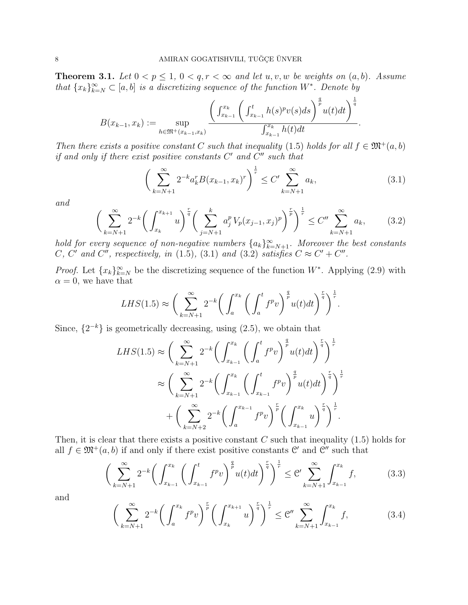**Theorem 3.1.** Let  $0 < p \leq 1$ ,  $0 < q, r < \infty$  and let  $u, v, w$  be weights on  $(a, b)$ . Assume that  $\{x_k\}_{k=N}^{\infty} \subset [a, b]$  is a discretizing sequence of the function  $W^*$ . Denote by

$$
B(x_{k-1}, x_k) := \sup_{h \in \mathfrak{M}^+(x_{k-1}, x_k)} \frac{\left(\int_{x_{k-1}}^{x_k} \left(\int_{x_{k-1}}^t h(s)^p v(s) ds\right)^{\frac{q}{p}} u(t) dt\right)^{\frac{1}{q}}}{\int_{x_{k-1}}^{x_k} h(t) dt}.
$$

Then there exists a positive constant C such that inequality (1.5) holds for all  $f \in \mathfrak{M}^+(a, b)$ if and only if there exist positive constants  $C'$  and  $C''$  such that

$$
\left(\sum_{k=N+1}^{\infty} 2^{-k} a_k^r B(x_{k-1}, x_k)^r \right)^{\frac{1}{r}} \le C' \sum_{k=N+1}^{\infty} a_k,
$$
\n(3.1)

and

$$
\left(\sum_{k=N+1}^{\infty} 2^{-k} \left(\int_{x_k}^{x_{k+1}} u\right)^{\frac{r}{q}} \left(\sum_{j=N+1}^{k} a_j^p V_p(x_{j-1}, x_j)^p\right)^{\frac{r}{p}}\right)^{\frac{1}{r}} \le C'' \sum_{k=N+1}^{\infty} a_k, \tag{3.2}
$$

hold for every sequence of non-negative numbers  $\{a_k\}_{k=N+1}^{\infty}$ . Moreover the best constants C, C' and C'', respectively, in (1.5), (3.1) and (3.2) satisfies  $C \approx C' + C''$ .

*Proof.* Let  $\{x_k\}_{k=N}^{\infty}$  be the discretizing sequence of the function W<sup>\*</sup>. Applying (2.9) with  $\alpha = 0$ , we have that

$$
LHS(1.5) \approx \bigg(\sum_{k=N+1}^{\infty} 2^{-k} \bigg(\int_{a}^{x_k} \bigg(\int_{a}^{t} f^p v\bigg)^{\frac{q}{p}} u(t) dt\bigg)^{\frac{r}{q}}\bigg)^{\frac{1}{r}}.
$$

Since,  $\{2^{-k}\}\$ is geometrically decreasing, using  $(2.5)$ , we obtain that

$$
LHS(1.5) \approx \left(\sum_{k=N+1}^{\infty} 2^{-k} \left(\int_{x_{k-1}}^{x_k} \left(\int_a^t f^p v\right)^{\frac{q}{p}} u(t) dt\right)^{\frac{r}{q}}\right)^{\frac{1}{r}}
$$
  

$$
\approx \left(\sum_{k=N+1}^{\infty} 2^{-k} \left(\int_{x_{k-1}}^{x_k} \left(\int_{x_{k-1}}^t f^p v\right)^{\frac{q}{p}} u(t) dt\right)^{\frac{r}{q}}\right)^{\frac{1}{r}}
$$
  
+ 
$$
\left(\sum_{k=N+2}^{\infty} 2^{-k} \left(\int_a^{x_{k-1}} f^p v\right)^{\frac{r}{p}} \left(\int_{x_{k-1}}^{x_k} u\right)^{\frac{r}{q}}\right)^{\frac{1}{r}}.
$$

Then, it is clear that there exists a positive constant  $C$  such that inequality (1.5) holds for all  $f \in \mathfrak{M}^+(a, b)$  if and only if there exist positive constants  $\mathfrak{C}'$  and  $\mathfrak{C}''$  such that

$$
\left(\sum_{k=N+1}^{\infty} 2^{-k} \left(\int_{x_{k-1}}^{x_k} \left(\int_{x_{k-1}}^t f^p v\right)^{\frac{q}{p}} u(t) dt\right)^{\frac{r}{q}}\right)^{\frac{1}{r}} \leq C' \sum_{k=N+1}^{\infty} \int_{x_{k-1}}^{x_k} f,
$$
(3.3)

and

$$
\left(\sum_{k=N+1}^{\infty} 2^{-k} \left(\int_{a}^{x_k} f^p v\right)^{\frac{r}{p}} \left(\int_{x_k}^{x_{k+1}} u\right)^{\frac{r}{q}}\right)^{\frac{1}{r}} \leq \mathcal{C}'' \sum_{k=N+1}^{\infty} \int_{x_{k-1}}^{x_k} f, \tag{3.4}
$$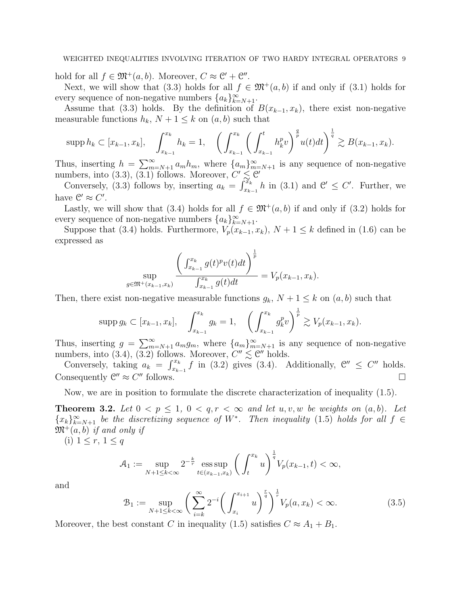hold for all  $f \in \mathfrak{M}^+(a, b)$ . Moreover,  $C \approx \mathfrak{C}' + \mathfrak{C}''$ .

Next, we will show that (3.3) holds for all  $f \in \mathfrak{M}^+(a, b)$  if and only if (3.1) holds for every sequence of non-negative numbers  $\{a_k\}_{k=N+1}^{\infty}$ .

Assume that (3.3) holds. By the definition of  $B(x_{k-1}, x_k)$ , there exist non-negative measurable functions  $h_k$ ,  $N + 1 \leq k$  on  $(a, b)$  such that

$$
\text{supp } h_k \subset [x_{k-1}, x_k], \quad \int_{x_{k-1}}^{x_k} h_k = 1, \quad \left( \int_{x_{k-1}}^{x_k} \left( \int_{x_{k-1}}^t h_k^p v \right)^{\frac{q}{p}} u(t) dt \right)^{\frac{1}{q}} \gtrsim B(x_{k-1}, x_k).
$$

Thus, inserting  $h = \sum_{m=N+1}^{\infty} a_m h_m$ , where  $\{a_m\}_{m=N+1}^{\infty}$  is any sequence of non-negative numbers, into (3.3), (3.1) follows. Moreover,  $C' \leq C'$ 

Conversely,  $(3.3)$  follows by, inserting  $a_k = \int_{x_{k-1}}^{x_k} h$  in  $(3.1)$  and  $\mathcal{C}' \leq C'$ . Further, we have  $\mathcal{C}' \approx C'$ .

Lastly, we will show that (3.4) holds for all  $f \in \mathfrak{M}^+(a, b)$  if and only if (3.2) holds for every sequence of non-negative numbers  $\{a_k\}_{k=N+1}^{\infty}$ .

Suppose that (3.4) holds. Furthermore,  $V_p(x_{k-1}, x_k)$ ,  $N + 1 \leq k$  defined in (1.6) can be expressed as

$$
\sup_{g \in \mathfrak{M}^+(x_{k-1},x_k)} \frac{\left(\int_{x_{k-1}}^{x_k} g(t)^p v(t) dt\right)^{\frac{1}{p}}}{\int_{x_{k-1}}^{x_k} g(t) dt} = V_p(x_{k-1},x_k).
$$

Then, there exist non-negative measurable functions  $g_k$ ,  $N + 1 \leq k$  on  $(a, b)$  such that

$$
\text{supp } g_k \subset [x_{k-1}, x_k], \quad \int_{x_{k-1}}^{x_k} g_k = 1, \quad \left(\int_{x_{k-1}}^{x_k} g_k^p v\right)^{\frac{1}{p}} \gtrsim V_p(x_{k-1}, x_k).
$$

Thus, inserting  $g = \sum_{m=N+1}^{\infty} a_m g_m$ , where  $\{a_m\}_{m=N+1}^{\infty}$  is any sequence of non-negative numbers, into  $(3.4)$ ,  $(3.2)$  follows. Moreover,  $C'' \lesssim C''$  holds.

Conversely, taking  $a_k = \int_{x_{k-1}}^{x_k} f$  in (3.2) gives (3.4). Additionally,  $\mathcal{C}'' \leq C''$  holds. Consequently  $\mathcal{C}'' \approx C$  $\Box$  follows.

Now, we are in position to formulate the discrete characterization of inequality (1.5).

**Theorem 3.2.** Let  $0 < p \leq 1$ ,  $0 < q, r < \infty$  and let  $u, v, w$  be weights on  $(a, b)$ . Let  ${x_k}_{k=N+1}^{\infty}$  be the discretizing sequence of W<sup>\*</sup>. Then inequality (1.5) holds for all  $f \in$  $\mathfrak{M}^+(a, b)$  if and only if

(i)  $1 \leq r, 1 \leq q$ 

$$
\mathcal{A}_1 := \sup_{N+1 \le k < \infty} 2^{-\frac{k}{r}} \operatorname{ess} \sup_{t \in (x_{k-1}, x_k)} \left( \int_t^{x_k} u \right)^{\frac{1}{q}} V_p(x_{k-1}, t) < \infty,
$$

and

$$
\mathcal{B}_1 := \sup_{N+1 \le k < \infty} \left( \sum_{i=k}^{\infty} 2^{-i} \left( \int_{x_i}^{x_{i+1}} u \right)^{\frac{r}{q}} \right)^{\frac{1}{r}} V_p(a, x_k) < \infty. \tag{3.5}
$$

Moreover, the best constant C in inequality (1.5) satisfies  $C \approx A_1 + B_1$ .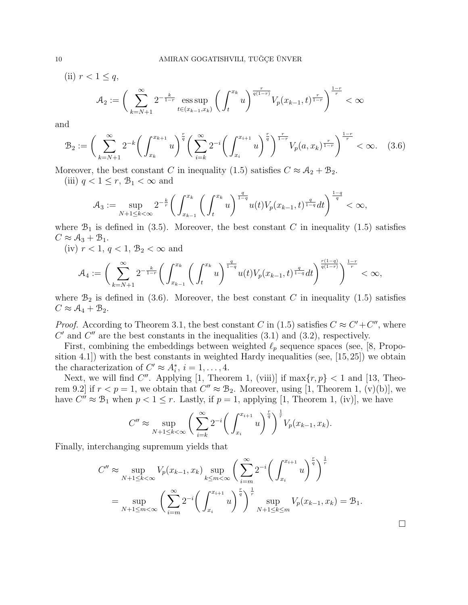(ii)  $r < 1 \leq q$ ,

$$
\mathcal{A}_2:= \bigg( \sum_{k=N+1}^{\infty} 2^{-\frac{k}{1-r}} \operatorname*{ess\,sup}_{t \in (x_{k-1},x_k)} \bigg( \int_{t}^{x_k} u \bigg)^{\frac{r}{q(1-r)}} V_p(x_{k-1},t)^{\frac{r}{1-r}} \bigg)^{\frac{1-r}{r}} < \infty
$$

and

$$
\mathcal{B}_2 := \left(\sum_{k=N+1}^{\infty} 2^{-k} \left(\int_{x_k}^{x_{k+1}} u\right)^{\frac{r}{q}} \left(\sum_{i=k}^{\infty} 2^{-i} \left(\int_{x_i}^{x_{i+1}} u\right)^{\frac{r}{q}}\right)^{\frac{r}{1-r}} V_p(a, x_k)^{\frac{r}{1-r}}\right)^{\frac{1-r}{r}} < \infty. \quad (3.6)
$$

Moreover, the best constant C in inequality (1.5) satisfies  $C \approx A_2 + B_2$ .

(iii)  $q < 1 \leq r$ ,  $\mathcal{B}_1 < \infty$  and

$$
\mathcal{A}_3 := \sup_{N+1 \le k < \infty} 2^{-\frac{k}{r}} \bigg( \int_{x_{k-1}}^{x_k} \bigg( \int_t^{x_k} u \bigg)^{\frac{q}{1-q}} u(t) V_p(x_{k-1}, t)^{\frac{q}{1-q}} dt \bigg)^{\frac{1-q}{q}} < \infty,
$$

where  $\mathcal{B}_1$  is defined in (3.5). Moreover, the best constant C in inequality (1.5) satisfies  $C \approx A_3 + B_1$ .

(iv)  $r < 1, q < 1, \mathcal{B}_2 < \infty$  and

$$
\mathcal{A}_4:=\bigg(\sum_{k=N+1}^{\infty}2^{-\frac{k}{1-r}}\bigg(\int_{x_{k-1}}^{x_k}\bigg(\int_t^{x_k}u\bigg)^{\frac{q}{1-q}}u(t)V_p(x_{k-1},t)^{\frac{q}{1-q}}dt\bigg)^{\frac{r(1-q)}{q(1-r)}}\bigg)^{\frac{1-r}{r}}<\infty,
$$

where  $\mathcal{B}_2$  is defined in (3.6). Moreover, the best constant C in inequality (1.5) satisfies  $C \approx A_4 + B_2.$ 

*Proof.* According to Theorem 3.1, the best constant C in (1.5) satisfies  $C \approx C' + C''$ , where  $C'$  and  $C''$  are the best constants in the inequalities  $(3.1)$  and  $(3.2)$ , respectively.

First, combining the embeddings between weighted  $\ell_p$  sequence spaces (see, [8, Proposition 4.1]) with the best constants in weighted Hardy inequalities (see, [15,25]) we obtain the characterization of  $C' \approx A_i^*, i = 1, ..., 4$ .

Next, we will find C''. Applying [1, Theorem 1, (viii)] if  $\max\{r, p\} < 1$  and [13, Theorem 9.2] if  $r < p = 1$ , we obtain that  $C'' \approx B_2$ . Moreover, using [1, Theorem 1, (v)(b)], we have  $C'' \approx \mathcal{B}_1$  when  $p < 1 \leq r$ . Lastly, if  $p = 1$ , applying [1, Theorem 1, (iv)], we have

$$
C'' \approx \sup_{N+1 \le k < \infty} \left( \sum_{i=k}^{\infty} 2^{-i} \left( \int_{x_i}^{x_{i+1}} u \right)^{\frac{r}{q}} \right)^{\frac{1}{r}} V_p(x_{k-1}, x_k).
$$

Finally, interchanging supremum yields that

$$
C'' \approx \sup_{N+1 \le k < \infty} V_p(x_{k-1}, x_k) \sup_{k \le m < \infty} \left( \sum_{i=m}^{\infty} 2^{-i} \left( \int_{x_i}^{x_{i+1}} u \right)^{\frac{r}{q}} \right)^{\frac{1}{r}}
$$
  
= 
$$
\sup_{N+1 \le m < \infty} \left( \sum_{i=m}^{\infty} 2^{-i} \left( \int_{x_i}^{x_{i+1}} u \right)^{\frac{r}{q}} \right)^{\frac{1}{r}} \sup_{N+1 \le k \le m} V_p(x_{k-1}, x_k) = \mathcal{B}_1.
$$

□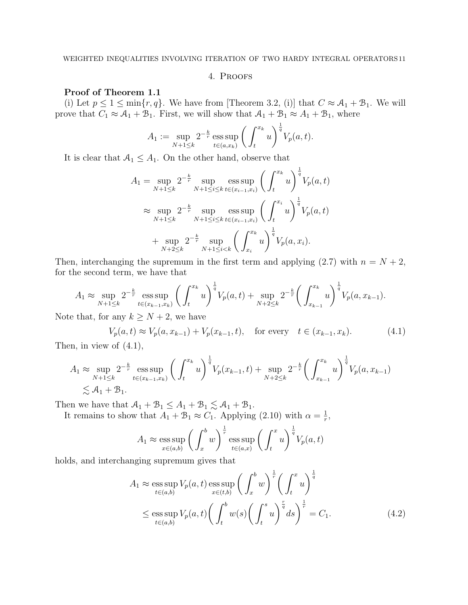#### 4. Proofs

#### Proof of Theorem 1.1

(i) Let  $p \le 1 \le \min\{r, q\}$ . We have from [Theorem 3.2, (i)] that  $C \approx A_1 + B_1$ . We will prove that  $C_1 \approx A_1 + B_1$ . First, we will show that  $A_1 + B_1 \approx A_1 + B_1$ , where

$$
A_1 := \sup_{N+1 \le k} 2^{-\frac{k}{r}} \operatorname{ess} \sup_{t \in (a, x_k)} \left( \int_t^{x_k} u \right)^{\frac{1}{q}} V_p(a, t).
$$

It is clear that  $A_1 \leq A_1$ . On the other hand, observe that

$$
A_1 = \sup_{N+1 \le k} 2^{-\frac{k}{r}} \sup_{N+1 \le i \le k} \operatorname{ess} \sup_{t \in (x_{i-1}, x_i)} \left( \int_t^{x_k} u \right)^{\frac{1}{q}} V_p(a, t)
$$
  

$$
\approx \sup_{N+1 \le k} 2^{-\frac{k}{r}} \sup_{N+1 \le i \le k} \operatorname{ess} \sup_{t \in (x_{i-1}, x_i)} \left( \int_t^{x_i} u \right)^{\frac{1}{q}} V_p(a, t)
$$
  
+ 
$$
\sup_{N+2 \le k} 2^{-\frac{k}{r}} \sup_{N+1 \le i \le k} \left( \int_{x_i}^{x_k} u \right)^{\frac{1}{q}} V_p(a, x_i).
$$

Then, interchanging the supremum in the first term and applying  $(2.7)$  with  $n = N + 2$ , for the second term, we have that

$$
A_1 \approx \sup_{N+1 \le k} 2^{-\frac{k}{r}} \operatorname{ess} \sup_{t \in (x_{k-1}, x_k)} \left( \int_t^{x_k} u \right)^{\frac{1}{q}} V_p(a, t) + \sup_{N+2 \le k} 2^{-\frac{k}{r}} \left( \int_{x_{k-1}}^{x_k} u \right)^{\frac{1}{q}} V_p(a, x_{k-1}).
$$

Note that, for any  $k \geq N+2$ , we have

$$
V_p(a,t) \approx V_p(a, x_{k-1}) + V_p(x_{k-1}, t), \text{ for every } t \in (x_{k-1}, x_k). \tag{4.1}
$$

Then, in view of (4.1),

$$
A_1 \approx \sup_{N+1 \le k} 2^{-\frac{k}{r}} \operatorname{ess} \sup_{t \in (x_{k-1}, x_k)} \left( \int_t^{x_k} u \right)^{\frac{1}{q}} V_p(x_{k-1}, t) + \sup_{N+2 \le k} 2^{-\frac{k}{r}} \left( \int_{x_{k-1}}^{x_k} u \right)^{\frac{1}{q}} V_p(a, x_{k-1})
$$
  
  $\lesssim A_1 + B_1.$ 

Then we have that  $A_1 + B_1 \leq A_1 + B_1 \lesssim A_1 + B_1$ .

It remains to show that  $A_1 + B_1 \approx C_1$ . Applying (2.10) with  $\alpha = \frac{1}{r}$  $\frac{1}{r},$ 

$$
A_1 \approx \underset{x \in (a,b)}{\text{ess sup}} \left( \int_x^b w \right)^{\frac{1}{r}} \underset{t \in (a,x)}{\text{ess sup}} \left( \int_t^x u \right)^{\frac{1}{q}} V_p(a,t)
$$

holds, and interchanging supremum gives that

$$
A_1 \approx \operatorname*{ess\,sup}_{t \in (a,b)} V_p(a,t) \operatorname*{ess\,sup}_{x \in (t,b)} \left(\int_x^b w\right)^{\frac{1}{r}} \left(\int_t^x u\right)^{\frac{1}{q}}
$$
  

$$
\leq \operatorname*{ess\,sup}_{t \in (a,b)} V_p(a,t) \left(\int_t^b w(s) \left(\int_t^s u\right)^{\frac{r}{q}} ds\right)^{\frac{1}{r}} = C_1.
$$
 (4.2)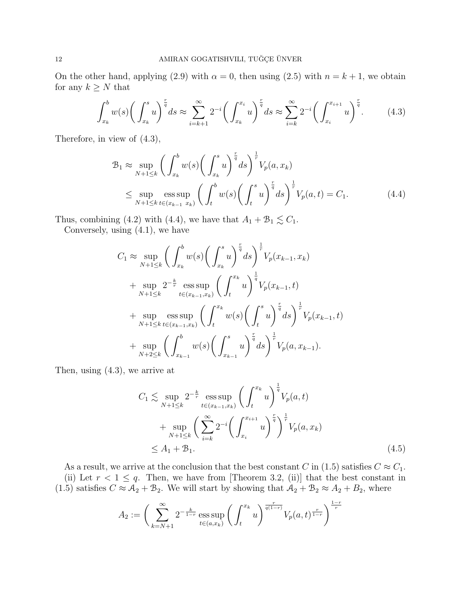On the other hand, applying (2.9) with  $\alpha = 0$ , then using (2.5) with  $n = k + 1$ , we obtain for any  $k \geq N$  that

$$
\int_{x_k}^b w(s) \bigg( \int_{x_k}^s u \bigg)^{\frac{r}{q}} ds \approx \sum_{i=k+1}^\infty 2^{-i} \bigg( \int_{x_k}^{x_i} u \bigg)^{\frac{r}{q}} ds \approx \sum_{i=k}^\infty 2^{-i} \bigg( \int_{x_i}^{x_{i+1}} u \bigg)^{\frac{r}{q}}.
$$
 (4.3)

Therefore, in view of (4.3),

$$
\mathcal{B}_{1} \approx \sup_{N+1 \leq k} \left( \int_{x_{k}}^{b} w(s) \left( \int_{x_{k}}^{s} u \right)^{\frac{r}{q}} ds \right)^{\frac{1}{r}} V_{p}(a, x_{k})
$$
\n
$$
\leq \sup_{N+1 \leq k} \operatorname{ess} \sup_{t \in (x_{k-1}, x_{k})} \left( \int_{t}^{b} w(s) \left( \int_{t}^{s} u \right)^{\frac{r}{q}} ds \right)^{\frac{1}{r}} V_{p}(a, t) = C_{1}.
$$
\n(4.4)

Thus, combining (4.2) with (4.4), we have that  $A_1 + B_1 \lesssim C_1$ .

Conversely, using (4.1), we have

$$
C_1 \approx \sup_{N+1 \leq k} \left( \int_{x_k}^b w(s) \left( \int_{x_k}^s u \right)^{\frac{r}{q}} ds \right)^{\frac{1}{r}} V_p(x_{k-1}, x_k)
$$
  
+ 
$$
\sup_{N+1 \leq k} 2^{-\frac{k}{r}} \operatorname{ess} \sup_{t \in (x_{k-1}, x_k)} \left( \int_t^{x_k} u \right)^{\frac{1}{q}} V_p(x_{k-1}, t)
$$
  
+ 
$$
\sup_{N+1 \leq k} \operatorname{ess} \sup_{t \in (x_{k-1}, x_k)} \left( \int_t^{x_k} w(s) \left( \int_t^s u \right)^{\frac{r}{q}} ds \right)^{\frac{1}{r}} V_p(x_{k-1}, t)
$$
  
+ 
$$
\sup_{N+2 \leq k} \left( \int_{x_{k-1}}^b w(s) \left( \int_{x_{k-1}}^s u \right)^{\frac{r}{q}} ds \right)^{\frac{1}{r}} V_p(a, x_{k-1}).
$$

Then, using (4.3), we arrive at

$$
C_1 \lesssim \sup_{N+1 \leq k} 2^{-\frac{k}{r}} \operatorname{ess} \sup_{t \in (x_{k-1}, x_k)} \left( \int_t^{x_k} u \right)^{\frac{1}{q}} V_p(a, t)
$$
  
+ 
$$
\sup_{N+1 \leq k} \left( \sum_{i=k}^{\infty} 2^{-i} \left( \int_{x_i}^{x_{i+1}} u \right)^{\frac{r}{q}} \right)^{\frac{1}{r}} V_p(a, x_k)
$$
  

$$
\leq A_1 + B_1.
$$
 (4.5)

As a result, we arrive at the conclusion that the best constant C in (1.5) satisfies  $C \approx C_1$ . (ii) Let  $r < 1 \leq q$ . Then, we have from [Theorem 3.2, (ii)] that the best constant in (1.5) satisfies  $C \approx A_2 + B_2$ . We will start by showing that  $A_2 + B_2 \approx A_2 + B_2$ , where

$$
A_2 := \bigg( \sum_{k=N+1}^{\infty} 2^{-\frac{k}{1-r}} \operatorname{ess} \sup_{t \in (a,x_k)} \bigg( \int_t^{x_k} u \bigg)^{\frac{r}{q(1-r)}} V_p(a,t)^{\frac{r}{1-r}} \bigg)^{\frac{1-r}{r}}
$$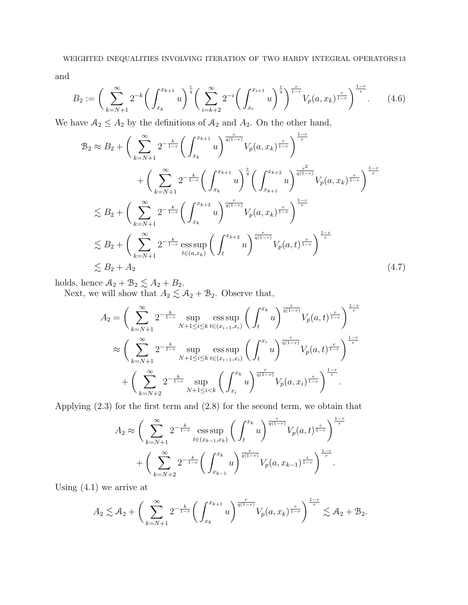and

$$
B_2 := \left(\sum_{k=N+1}^{\infty} 2^{-k} \left(\int_{x_k}^{x_{k+1}} u\right)^{\frac{r}{q}} \left(\sum_{i=k+2}^{\infty} 2^{-i} \left(\int_{x_i}^{x_{i+1}} u\right)^{\frac{r}{q}}\right)^{\frac{r}{1-r}} V_p(a, x_k)^{\frac{r}{1-r}}\right)^{\frac{1-r}{r}}.
$$
 (4.6)

We have  $A_2 \leq A_2$  by the definitions of  $A_2$  and  $A_2$ . On the other hand,

$$
B_2 \approx B_2 + \left(\sum_{k=N+1}^{\infty} 2^{-\frac{k}{1-r}} \left(\int_{x_k}^{x_{k+1}} u\right)^{\frac{r}{q(1-r)}} V_p(a, x_k)^{\frac{r}{1-r}}\right)^{\frac{1-r}{r}} + \left(\sum_{k=N+1}^{\infty} 2^{-\frac{k}{1-r}} \left(\int_{x_k}^{x_{k+1}} u\right)^{\frac{r}{q}} \left(\int_{x_{k+1}}^{x_{k+2}} u\right)^{\frac{r^2}{q(1-r)}} V_p(a, x_k)^{\frac{r}{1-r}}\right)^{\frac{1-r}{r}} \lesssim B_2 + \left(\sum_{k=N+1}^{\infty} 2^{-\frac{k}{1-r}} \left(\int_{x_k}^{x_{k+2}} u\right)^{\frac{r}{q(1-r)}} V_p(a, x_k)^{\frac{r}{1-r}}\right)^{\frac{1-r}{r}} \lesssim B_2 + \left(\sum_{k=N+1}^{\infty} 2^{-\frac{k}{1-r}} \operatorname{ess} \sup_{t \in (a, x_k)} \left(\int_t^{x_{k+2}} u\right)^{\frac{r}{q(1-r)}} V_p(a, t)^{\frac{r}{1-r}}\right)^{\frac{1-r}{r}} \lesssim B_2 + A_2
$$
\n(4.7)

holds, hence  $A_2 + B_2 \lesssim A_2 + B_2$ .

Next, we will show that  $A_2 \lesssim A_2 + B_2$ . Observe that,

$$
A_2 = \left(\sum_{k=N+1}^{\infty} 2^{-\frac{k}{1-r}} \sup_{N+1 \le i \le k} \operatorname*{ess\,sup}_{t \in (x_{i-1}, x_i)} \left(\int_t^{x_k} u\right)^{\frac{r}{q(1-r)}} V_p(a, t)^{\frac{r}{1-r}} \right)^{\frac{1-r}{r}}
$$
  

$$
\approx \left(\sum_{k=N+1}^{\infty} 2^{-\frac{k}{1-r}} \sup_{N+1 \le i \le k} \operatorname*{ess\,sup}_{t \in (x_{i-1}, x_i)} \left(\int_t^{x_i} u\right)^{\frac{r}{q(1-r)}} V_p(a, t)^{\frac{r}{1-r}} \right)^{\frac{1-r}{r}}
$$
  
+ 
$$
\left(\sum_{k=N+2}^{\infty} 2^{-\frac{k}{1-r}} \sup_{N+1 \le i \le k} \left(\int_{x_i}^{x_k} u\right)^{\frac{r}{q(1-r)}} V_p(a, x_i)^{\frac{r}{1-r}} \right)^{\frac{1-r}{r}}.
$$

Applying (2.3) for the first term and (2.8) for the second term, we obtain that

$$
A_2 \approx \left(\sum_{k=N+1}^{\infty} 2^{-\frac{k}{1-r}} \operatorname{ess} \sup_{t \in (x_{k-1}, x_k)} \left( \int_t^{x_k} u \right)^{\frac{r}{q(1-r)}} V_p(a, t)^{\frac{r}{1-r}} \right)^{\frac{1-r}{r}}
$$

$$
+ \left(\sum_{k=N+2}^{\infty} 2^{-\frac{k}{1-r}} \left( \int_{x_{k-1}}^{x_k} u \right)^{\frac{r}{q(1-r)}} V_p(a, x_{k-1})^{\frac{r}{1-r}} \right)^{\frac{1-r}{r}}.
$$

Using (4.1) we arrive at

$$
A_2 \lesssim A_2 + \bigg(\sum_{k=N+1}^{\infty} 2^{-\frac{k}{1-r}} \bigg(\int_{x_k}^{x_{k+1}} u\bigg)^{\frac{r}{q(1-r)}} V_p(a, x_k)^{\frac{r}{1-r}} \bigg)^{\frac{1-r}{r}} \lesssim A_2 + B_2.
$$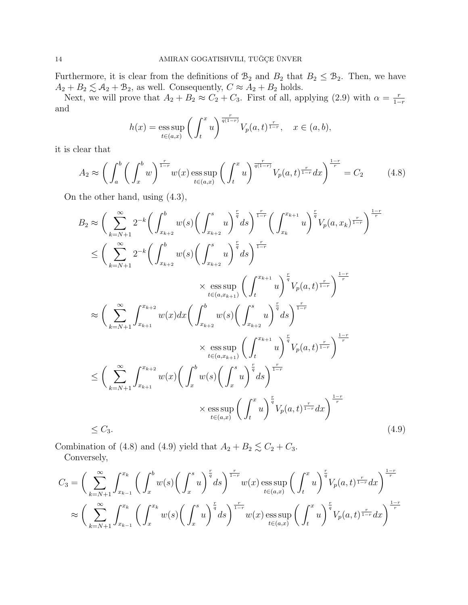Furthermore, it is clear from the definitions of  $\mathcal{B}_2$  and  $B_2$  that  $B_2 \leq \mathcal{B}_2$ . Then, we have  $A_2 + B_2 \lesssim A_2 + B_2$ , as well. Consequently,  $C \approx A_2 + B_2$  holds.

Next, we will prove that  $A_2 + B_2 \approx C_2 + C_3$ . First of all, applying (2.9) with  $\alpha = \frac{r}{1-r}$  $1-r$ and

$$
h(x) = \operatorname{ess} \operatorname{sup}_{t \in (a,x)} \left( \int_t^x u \right)^{\frac{r}{q(1-r)}} V_p(a,t)^{\frac{r}{1-r}}, \quad x \in (a,b),
$$

it is clear that

$$
A_2 \approx \left(\int_a^b \left(\int_x^b w\right)^{\frac{r}{1-r}} w(x) \operatorname{ess} \sup_{t \in (a,x)} \left(\int_t^x u\right)^{\frac{r}{q(1-r)}} V_p(a,t)^{\frac{r}{1-r}} dx\right)^{\frac{1-r}{r}} = C_2 \tag{4.8}
$$

On the other hand, using (4.3),

$$
B_{2} \approx \left(\sum_{k=N+1}^{\infty} 2^{-k} \left(\int_{x_{k+2}}^{b} w(s) \left(\int_{x_{k+2}}^{s} u\right)^{\frac{r}{q}} ds\right)^{\frac{r}{1-r}} \left(\int_{x_{k}}^{x_{k+1}} u\right)^{\frac{r}{q}} V_{p}(a, x_{k})^{\frac{r}{1-r}}\right)^{\frac{1-r}{r}}
$$
  
\n
$$
\leq \left(\sum_{k=N+1}^{\infty} 2^{-k} \left(\int_{x_{k+2}}^{b} w(s) \left(\int_{x_{k+2}}^{s} u\right)^{\frac{r}{q}} ds\right)^{\frac{r}{1-r}}
$$
  
\n
$$
\times \operatorname*{ess} \sup_{t \in (a, x_{k+1})} \left(\int_{t}^{x_{k+1}} u\right)^{\frac{r}{q}} V_{p}(a, t)^{\frac{r}{1-r}}\right)^{\frac{1-r}{r}}
$$
  
\n
$$
\approx \left(\sum_{k=N+1}^{\infty} \int_{x_{k+1}}^{x_{k+2}} w(x) dx \left(\int_{x_{k+2}}^{b} w(s) \left(\int_{x_{k+2}}^{s} u\right)^{\frac{r}{q}} ds\right)^{\frac{r}{1-r}}
$$
  
\n
$$
\times \operatorname*{ess} \sup_{t \in (a, x_{k+1})} \left(\int_{t}^{x_{k+1}} u\right)^{\frac{r}{q}} V_{p}(a, t)^{\frac{r}{1-r}}\right)^{\frac{1-r}{r}}
$$
  
\n
$$
\leq \left(\sum_{k=N+1}^{\infty} \int_{x_{k+1}}^{x_{k+2}} w(x) \left(\int_{x}^{b} w(s) \left(\int_{x}^{s} u\right)^{\frac{r}{q}} ds\right)^{\frac{r}{1-r}}
$$
  
\n
$$
\times \operatorname*{ess} \sup_{t \in (a, x)} \left(\int_{t}^{x} u\right)^{\frac{r}{q}} V_{p}(a, t)^{\frac{r}{1-r}} dx\right)^{\frac{1-r}{r}}
$$
  
\n
$$
\leq C_{3}.
$$
  
\n(4.9)

Combination of (4.8) and (4.9) yield that  $A_2 + B_2 \lesssim C_2 + C_3$ .

Conversely,

$$
C_3 = \left(\sum_{k=N+1}^{\infty} \int_{x_{k-1}}^{x_k} \left(\int_x^b w(s) \left(\int_x^s u\right)^{\frac{r}{q}} ds\right)^{\frac{r}{1-r}} w(x) \operatorname{ess} \sup_{t \in (a,x)} \left(\int_t^x u\right)^{\frac{r}{q}} V_p(a,t)^{\frac{r}{1-r}} dx\right)^{\frac{1-r}{r}}
$$
  

$$
\approx \left(\sum_{k=N+1}^{\infty} \int_{x_{k-1}}^{x_k} \left(\int_x^{x_k} w(s) \left(\int_x^s u\right)^{\frac{r}{q}} ds\right)^{\frac{r}{1-r}} w(x) \operatorname{ess} \sup_{t \in (a,x)} \left(\int_t^x u\right)^{\frac{r}{q}} V_p(a,t)^{\frac{r}{1-r}} dx\right)^{\frac{1-r}{r}}
$$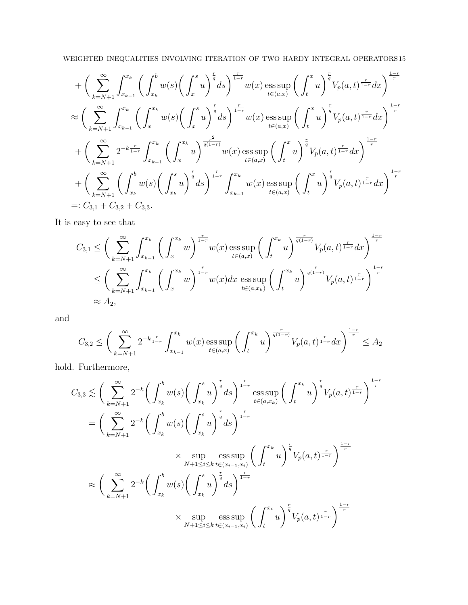## WEIGHTED INEQUALITIES INVOLVING ITERATION OF TWO HARDY INTEGRAL OPERATORS 15

$$
+ \left(\sum_{k=N+1}^{\infty} \int_{x_{k-1}}^{x_k} \left(\int_{x_k}^{b} w(s) \left(\int_{x}^{s} u\right)^{\frac{r}{q}} ds\right)^{\frac{r}{1-r}} w(x) \operatorname{ess} \sup_{t \in (a,x)} \left(\int_{t}^{x} u\right)^{\frac{r}{q}} V_p(a,t)^{\frac{r}{1-r}} dx\right)^{\frac{1-r}{r}}
$$
  
\n
$$
\approx \left(\sum_{k=N+1}^{\infty} \int_{x_{k-1}}^{x_k} \left(\int_{x}^{x_k} w(s) \left(\int_{x}^{s} u\right)^{\frac{r}{q}} ds\right)^{\frac{r}{1-r}} w(x) \operatorname{ess} \sup_{t \in (a,x)} \left(\int_{t}^{x} u\right)^{\frac{r}{q}} V_p(a,t)^{\frac{r}{1-r}} dx\right)^{\frac{1-r}{r}}
$$
  
\n
$$
+ \left(\sum_{k=N+1}^{\infty} 2^{-k\frac{r}{1-r}} \int_{x_{k-1}}^{x_k} \left(\int_{x}^{x_k} u\right)^{\frac{r^2}{q(1-r)}} w(x) \operatorname{ess} \sup_{t \in (a,x)} \left(\int_{t}^{x} u\right)^{\frac{r}{q}} V_p(a,t)^{\frac{r}{1-r}} dx\right)^{\frac{1-r}{r}}
$$
  
\n
$$
+ \left(\sum_{k=N+1}^{\infty} \left(\int_{x_k}^{b} w(s) \left(\int_{x_k}^{s} u\right)^{\frac{r}{q}} ds\right)^{\frac{r}{1-r}} \int_{x_{k-1}}^{x_k} w(x) \operatorname{ess} \sup_{t \in (a,x)} \left(\int_{t}^{x} u\right)^{\frac{r}{q}} V_p(a,t)^{\frac{r}{1-r}} dx\right)^{\frac{1-r}{r}}
$$
  
\n
$$
=: C_{3,1} + C_{3,2} + C_{3,3}.
$$

It is easy to see that

$$
C_{3,1} \leq \left(\sum_{k=N+1}^{\infty} \int_{x_{k-1}}^{x_k} \left(\int_x^{x_k} w\right)^{\frac{r}{1-r}} w(x) \operatorname{ess} \sup_{t \in (a,x)} \left(\int_t^{x_k} u\right)^{\frac{r}{q(1-r)}} V_p(a,t)^{\frac{r}{1-r}} dx\right)^{\frac{1-r}{r}}
$$
  

$$
\leq \left(\sum_{k=N+1}^{\infty} \int_{x_{k-1}}^{x_k} \left(\int_x^{x_k} w\right)^{\frac{r}{1-r}} w(x) dx \operatorname{ess} \sup_{t \in (a,x_k)} \left(\int_t^{x_k} u\right)^{\frac{r}{q(1-r)}} V_p(a,t)^{\frac{r}{1-r}}\right)^{\frac{1-r}{r}}
$$
  

$$
\approx A_2,
$$

and

$$
C_{3,2} \le \bigg(\sum_{k=N+1}^{\infty} 2^{-k\frac{r}{1-r}} \int_{x_{k-1}}^{x_k} w(x) \operatorname{ess} \sup_{t \in (a,x)} \bigg(\int_t^{x_k} u\bigg)^{\frac{r}{q(1-r)}} V_p(a,t)^{\frac{r}{1-r}} dx \bigg)^{\frac{1-r}{r}} \le A_2
$$

hold. Furthermore,

$$
C_{3,3} \lesssim \left(\sum_{k=N+1}^{\infty} 2^{-k} \left(\int_{x_k}^{b} w(s) \left(\int_{x_k}^{s} u\right)^{\frac{r}{q}} ds\right)^{\frac{r}{1-r}} \underset{t \in (a,x_k)}{\text{ess sup}} \left(\int_{t}^{x_k} u\right)^{\frac{r}{q}} V_p(a,t)^{\frac{r}{1-r}}\right)^{\frac{1-r}{r}}
$$
\n
$$
= \left(\sum_{k=N+1}^{\infty} 2^{-k} \left(\int_{x_k}^{b} w(s) \left(\int_{x_k}^{s} u\right)^{\frac{r}{q}} ds\right)^{\frac{r}{1-r}}
$$
\n
$$
\times \underset{N+1 \le i \le k}{\text{sup}} \underset{t \in (x_{i-1},x_i)}{\text{ess sup}} \left(\int_{t}^{x_k} u\right)^{\frac{r}{q}} V_p(a,t)^{\frac{r}{1-r}}\right)^{\frac{1-r}{r}}
$$
\n
$$
\approx \left(\sum_{k=N+1}^{\infty} 2^{-k} \left(\int_{x_k}^{b} w(s) \left(\int_{x_k}^{s} u\right)^{\frac{r}{q}} ds\right)^{\frac{r}{1-r}}
$$
\n
$$
\times \underset{N+1 \le i \le k}{\text{sup}} \underset{t \in (x_{i-1},x_i)}{\text{ess sup}} \left(\int_{t}^{x_i} u\right)^{\frac{r}{q}} V_p(a,t)^{\frac{r}{1-r}}\right)^{\frac{1-r}{r}}
$$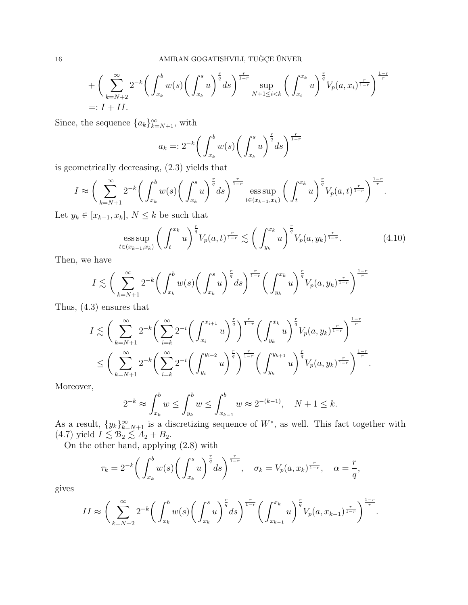$$
+\left(\sum_{k=N+2}^{\infty} 2^{-k} \left(\int_{x_k}^{b} w(s) \left(\int_{x_k}^{s} u\right)^{\frac{r}{q}} ds\right)^{\frac{r}{1-r}} \sup_{N+1 \le i < k} \left(\int_{x_i}^{x_k} u\right)^{\frac{r}{q}} V_p(a, x_i)^{\frac{r}{1-r}} \right)^{\frac{1-r}{r}}
$$
\n
$$
=: I + II.
$$

Since, the sequence  ${a_k}_{k=N+1}^{\infty}$ , with

$$
a_k =: 2^{-k} \bigg( \int_{x_k}^b w(s) \bigg( \int_{x_k}^s u \bigg)^{\frac{r}{q}} ds \bigg)^{\frac{r}{1-r}}
$$

is geometrically decreasing, (2.3) yields that

$$
I \approx \bigg(\sum_{k=N+1}^{\infty} 2^{-k} \bigg(\int_{x_k}^{b} w(s) \bigg(\int_{x_k}^{s} u\bigg)^{\frac{r}{q}} ds\bigg)^{\frac{r}{1-r}} \underset{t \in (x_{k-1}, x_k)}{\mathrm{ess} \sup} \bigg(\int_{t}^{x_k} u\bigg)^{\frac{r}{q}} V_p(a, t)^{\frac{r}{1-r}}\bigg)^{\frac{1-r}{r}}.
$$

Let  $y_k \in [x_{k-1}, x_k]$ ,  $N \leq k$  be such that

$$
\underset{t \in (x_{k-1}, x_k)}{\text{ess sup}} \left( \int_t^{x_k} u \right)^{\frac{r}{q}} V_p(a, t)^{\frac{r}{1-r}} \lesssim \left( \int_{y_k}^{x_k} u \right)^{\frac{r}{q}} V_p(a, y_k)^{\frac{r}{1-r}}. \tag{4.10}
$$

Then, we have

$$
I \lesssim \bigg(\sum_{k=N+1}^{\infty} 2^{-k} \bigg(\int_{x_k}^{b} w(s) \bigg(\int_{x_k}^{s} u\bigg)^{\frac{r}{q}} ds\bigg)^{\frac{r}{1-r}} \bigg(\int_{y_k}^{x_k} u\bigg)^{\frac{r}{q}} V_p(a, y_k)^{\frac{r}{1-r}} \bigg)^{\frac{1-r}{r}}
$$

Thus, (4.3) ensures that

$$
I \lesssim \bigg(\sum_{k=N+1}^{\infty} 2^{-k} \bigg(\sum_{i=k}^{\infty} 2^{-i} \bigg(\int_{x_i}^{x_{i+1}} u\bigg)^{\frac{r}{q}}\bigg)^{\frac{r}{1-r}} \bigg(\int_{y_k}^{x_k} u\bigg)^{\frac{r}{q}} V_p(a, y_k)^{\frac{r}{1-r}}\bigg)^{\frac{1-r}{r}} \leq \bigg(\sum_{k=N+1}^{\infty} 2^{-k} \bigg(\sum_{i=k}^{\infty} 2^{-i} \bigg(\int_{y_i}^{y_{i+2}} u\bigg)^{\frac{r}{q}}\bigg)^{\frac{r}{1-r}} \bigg(\int_{y_k}^{y_{k+1}} u\bigg)^{\frac{r}{q}} V_p(a, y_k)^{\frac{r}{1-r}}\bigg)^{\frac{1-r}{r}}.
$$

Moreover,

$$
2^{-k} \approx \int_{x_k}^b w \le \int_{y_k}^b w \le \int_{x_{k-1}}^b w \approx 2^{-(k-1)}, \quad N+1 \le k.
$$

As a result,  $\{y_k\}_{k=N+1}^{\infty}$  is a discretizing sequence of  $W^*$ , as well. This fact together with  $(4.7)$  yield  $I \lesssim \mathcal{B}_2 \lesssim A_2 + B_2$ .

On the other hand, applying (2.8) with

$$
\tau_k = 2^{-k} \bigg( \int_{x_k}^b w(s) \bigg( \int_{x_k}^s u \bigg)^{\frac{r}{q}} ds \bigg)^{\frac{r}{1-r}}, \quad \sigma_k = V_p(a, x_k)^{\frac{r}{1-r}}, \quad \alpha = \frac{r}{q},
$$

gives

$$
II \approx \bigg(\sum_{k=N+2}^{\infty} 2^{-k} \bigg(\int_{x_k}^{b} w(s) \bigg(\int_{x_k}^{s} u\bigg)^{\frac{r}{q}} ds\bigg)^{\frac{r}{1-r}} \bigg(\int_{x_{k-1}}^{x_k} u\bigg)^{\frac{r}{q}} V_p(a, x_{k-1})^{\frac{r}{1-r}}\bigg)^{\frac{1-r}{r}}.
$$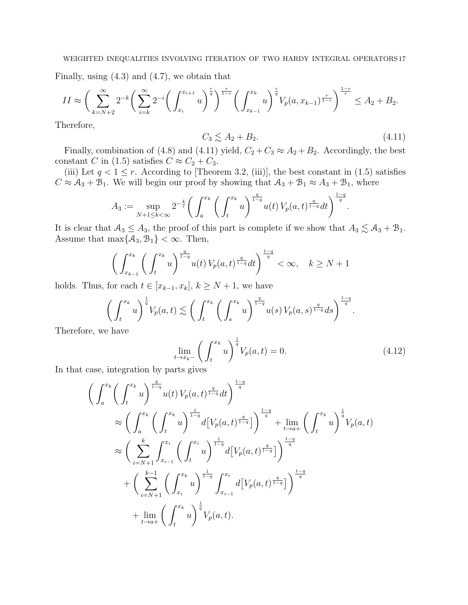Finally, using (4.3) and (4.7), we obtain that

$$
II \approx \bigg(\sum_{k=N+2}^{\infty} 2^{-k} \bigg(\sum_{i=k}^{\infty} 2^{-i} \bigg(\int_{x_i}^{x_{i+1}} u\bigg)^{\frac{r}{q}}\bigg)^{\frac{r}{1-r}} \bigg(\int_{x_{k-1}}^{x_k} u\bigg)^{\frac{r}{q}} V_p(a, x_{k-1})^{\frac{r}{1-r}}\bigg)^{\frac{1-r}{r}} \leq A_2 + B_2.
$$

Therefore,

$$
C_3 \lesssim A_2 + B_2. \tag{4.11}
$$

Finally, combination of (4.8) and (4.11) yield,  $C_2 + C_3 \approx A_2 + B_2$ . Accordingly, the best constant C in (1.5) satisfies  $C \approx C_2 + C_3$ .

(iii) Let  $q < 1 \leq r$ . According to [Theorem 3.2, (iii)], the best constant in (1.5) satisfies  $C \approx A_3 + B_1$ . We will begin our proof by showing that  $A_3 + B_1 \approx A_3 + B_1$ , where

$$
A_3 := \sup_{N+1 \le k < \infty} 2^{-\frac{k}{r}} \bigg( \int_a^{x_k} \bigg( \int_t^{x_k} u \bigg)^{\frac{q}{1-q}} u(t) \, V_p(a,t)^{\frac{q}{1-q}} dt \bigg)^{\frac{1-q}{q}}.
$$

It is clear that  $A_3 \leq A_3$ , the proof of this part is complete if we show that  $A_3 \lesssim A_3 + B_1$ . Assume that  $\max\{\mathcal{A}_3, \mathcal{B}_1\} < \infty$ . Then,

$$
\left(\int_{x_{k-1}}^{x_k} \left(\int_t^{x_k} u\right)^{\frac{q}{1-q}} u(t) \, V_p(a,t)^{\frac{q}{1-q}} dt\right)^{\frac{1-q}{q}} < \infty, \quad k \ge N+1
$$

holds. Thus, for each  $t \in [x_{k-1}, x_k]$ ,  $k \geq N+1$ , we have

$$
\left(\int_t^{x_k} u\right)^{\frac{1}{q}} V_p(a,t) \lesssim \left(\int_t^{x_k} \left(\int_s^{x_k} u\right)^{\frac{q}{1-q}} u(s) V_p(a,s)^{\frac{q}{1-q}} ds\right)^{\frac{1-q}{q}}.
$$

Therefore, we have

$$
\lim_{t \to x_k-} \left( \int_t^{x_k} u \right)^{\frac{1}{q}} V_p(a, t) = 0. \tag{4.12}
$$

In that case, integration by parts gives

$$
\left(\int_{a}^{x_{k}}\left(\int_{t}^{x_{k}}u\right)^{\frac{q}{1-q}}u(t)V_{p}(a,t)^{\frac{q}{1-q}}dt\right)^{\frac{1-q}{q}}\n\approx\left(\int_{a}^{x_{k}}\left(\int_{t}^{x_{k}}u\right)^{\frac{1}{1-q}}d\left[V_{p}(a,t)^{\frac{q}{1-q}}\right]\right)^{\frac{1-q}{q}}+\lim_{t\to a+}\left(\int_{t}^{x_{k}}u\right)^{\frac{1}{q}}V_{p}(a,t)\n\approx\left(\sum_{i=N+1}^{k}\int_{x_{i-1}}^{x_{i}}\left(\int_{t}^{x_{i}}u\right)^{\frac{1}{1-q}}d\left[V_{p}(a,t)^{\frac{q}{1-q}}\right]\right)^{\frac{1-q}{q}}\n+\left(\sum_{i=N+1}^{k-1}\left(\int_{x_{i}}^{x_{k}}u\right)^{\frac{1}{1-q}}\int_{x_{i-1}}^{x_{i}}d\left[V_{p}(a,t)^{\frac{q}{1-q}}\right]\right)^{\frac{1-q}{q}}\n+\lim_{t\to a+}\left(\int_{t}^{x_{k}}u\right)^{\frac{1}{q}}V_{p}(a,t).
$$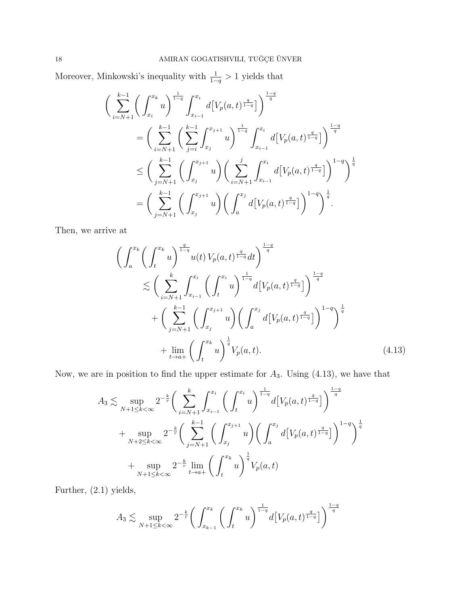Moreover, Minkowski's inequality with  $\frac{1}{1-q} > 1$  yields that

$$
\begin{split}\n&\Big(\sum_{i=N+1}^{k-1} \bigg(\int_{x_i}^{x_k} u\bigg)^{\frac{1}{1-q}} \int_{x_{i-1}}^{x_i} d\big[ V_p(a,t)^{\frac{q}{1-q}} \big] \Big)^{\frac{1-q}{q}} \\
&= \bigg(\sum_{i=N+1}^{k-1} \bigg(\sum_{j=i}^{k-1} \int_{x_j}^{x_{j+1}} u\bigg)^{\frac{1}{1-q}} \int_{x_{i-1}}^{x_i} d\big[ V_p(a,t)^{\frac{q}{1-q}} \big] \bigg)^{\frac{1-q}{q}} \\
&\leq \bigg(\sum_{j=N+1}^{k-1} \bigg(\int_{x_j}^{x_{j+1}} u\bigg) \bigg(\sum_{i=N+1}^{j} \int_{x_{i-1}}^{x_i} d\big[ V_p(a,t)^{\frac{q}{1-q}} \big] \bigg)^{1-q} \bigg)^{\frac{1}{q}} \\
&= \bigg(\sum_{j=N+1}^{k-1} \bigg(\int_{x_j}^{x_{j+1}} u\bigg) \bigg(\int_a^{x_j} d\big[ V_p(a,t)^{\frac{q}{1-q}} \big] \bigg)^{1-q} \bigg)^{\frac{1}{q}}.\n\end{split}
$$

Then, we arrive at

$$
\left(\int_{a}^{x_{k}}\left(\int_{t}^{x_{k}}u\right)^{\frac{q}{1-q}}u(t)V_{p}(a,t)^{\frac{q}{1-q}}dt\right)^{\frac{1-q}{q}}\n\lesssim \left(\sum_{i=N+1}^{k}\int_{x_{i-1}}^{x_{i}}\left(\int_{t}^{x_{i}}u\right)^{\frac{1}{1-q}}d[V_{p}(a,t)^{\frac{q}{1-q}}]\right)^{\frac{1-q}{q}}\n+ \left(\sum_{j=N+1}^{k-1}\left(\int_{x_{j}}^{x_{j+1}}u\right)\left(\int_{a}^{x_{j}}d[V_{p}(a,t)^{\frac{q}{1-q}}]\right)^{1-q}\right)^{\frac{1}{q}}\n+ \lim_{t\to a+}\left(\int_{t}^{x_{k}}u\right)^{\frac{1}{q}}V_{p}(a,t).
$$
\n(4.13)

Now, we are in position to find the upper estimate for  $A_3$ . Using (4.13), we have that

$$
A_3 \lesssim \sup_{N+1 \le k < \infty} 2^{-\frac{k}{r}} \bigg( \sum_{i=N+1}^k \int_{x_{i-1}}^{x_i} \bigg( \int_t^{x_i} u \bigg)^{\frac{1}{1-q}} d\big[ V_p(a, t)^{\frac{q}{1-q}} \big] \bigg)^{\frac{1-q}{q}}
$$
  
+ 
$$
\sup_{N+2 \le k < \infty} 2^{-\frac{k}{r}} \bigg( \sum_{j=N+1}^{k-1} \bigg( \int_{x_j}^{x_{j+1}} u \bigg) \bigg( \int_a^{x_j} d\big[ V_p(a, t)^{\frac{q}{1-q}} \big] \bigg)^{1-q} \bigg)^{\frac{1}{q}}
$$
  
+ 
$$
\sup_{N+1 \le k < \infty} 2^{-\frac{k}{r}} \lim_{t \to a+} \bigg( \int_t^{x_k} u \bigg)^{\frac{1}{q}} V_p(a, t)
$$

Further, (2.1) yields,

$$
A_3 \lesssim \sup_{N+1 \le k < \infty} 2^{-\frac{k}{r}} \bigg( \int_{x_{k-1}}^{x_k} \bigg( \int_t^{x_k} u \bigg)^{\frac{1}{1-q}} d\big[ V_p(a, t)^{\frac{q}{1-q}} \big] \bigg)^{\frac{1-q}{q}}
$$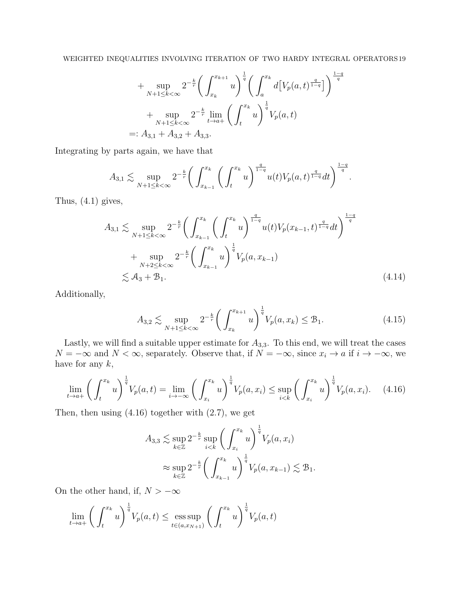+ 
$$
\sup_{N+1 \le k < \infty} 2^{-\frac{k}{r}} \left( \int_{x_k}^{x_{k+1}} u \right)^{\frac{1}{q}} \left( \int_a^{x_k} d\left[ V_p(a, t)^{\frac{q}{1-q}} \right] \right)^{\frac{1-q}{q}}
$$
  
+  $\sup_{N+1 \le k < \infty} 2^{-\frac{k}{r}} \lim_{t \to a+} \left( \int_t^{x_k} u \right)^{\frac{1}{q}} V_p(a, t)$   
=:  $A_{3,1} + A_{3,2} + A_{3,3}$ .

Integrating by parts again, we have that

$$
A_{3,1} \lesssim \sup_{N+1 \le k < \infty} 2^{-\frac{k}{r}} \bigg( \int_{x_{k-1}}^{x_k} \bigg( \int_t^{x_k} u \bigg)^{\frac{q}{1-q}} u(t) V_p(a,t)^{\frac{q}{1-q}} dt \bigg)^{\frac{1-q}{q}}.
$$

Thus, (4.1) gives,

$$
A_{3,1} \lesssim \sup_{N+1 \le k < \infty} 2^{-\frac{k}{r}} \bigg( \int_{x_{k-1}}^{x_k} \bigg( \int_t^{x_k} u \bigg)^{\frac{q}{1-q}} u(t) V_p(x_{k-1}, t)^{\frac{q}{1-q}} dt \bigg)^{\frac{1-q}{q}}
$$
  
+ 
$$
\sup_{N+2 \le k < \infty} 2^{-\frac{k}{r}} \bigg( \int_{x_{k-1}}^{x_k} u \bigg)^{\frac{1}{q}} V_p(a, x_{k-1})
$$
  

$$
\lesssim A_3 + B_1.
$$
 (4.14)

Additionally,

$$
A_{3,2} \lesssim \sup_{N+1 \le k < \infty} 2^{-\frac{k}{r}} \bigg( \int_{x_k}^{x_{k+1}} u \bigg)^{\frac{1}{q}} V_p(a, x_k) \le \mathcal{B}_1. \tag{4.15}
$$

Lastly, we will find a suitable upper estimate for  $A_{3,3}$ . To this end, we will treat the cases  $N = -\infty$  and  $N < \infty$ , separately. Observe that, if  $N = -\infty$ , since  $x_i \to a$  if  $i \to -\infty$ , we have for any  $k$ ,

$$
\lim_{t \to a+} \left( \int_t^{x_k} u \right)^{\frac{1}{q}} V_p(a, t) = \lim_{i \to -\infty} \left( \int_{x_i}^{x_k} u \right)^{\frac{1}{q}} V_p(a, x_i) \le \sup_{i < k} \left( \int_{x_i}^{x_k} u \right)^{\frac{1}{q}} V_p(a, x_i). \tag{4.16}
$$

Then, then using  $(4.16)$  together with  $(2.7)$ , we get

$$
A_{3,3} \lesssim \sup_{k \in \mathbb{Z}} 2^{-\frac{k}{r}} \sup_{i < k} \left( \int_{x_i}^{x_k} u \right)^{\frac{1}{q}} V_p(a, x_i)
$$
  

$$
\approx \sup_{k \in \mathbb{Z}} 2^{-\frac{k}{r}} \left( \int_{x_{k-1}}^{x_k} u \right)^{\frac{1}{q}} V_p(a, x_{k-1}) \lesssim \mathcal{B}_1.
$$

On the other hand, if,  $N > -\infty$ 

$$
\lim_{t \to a+} \left( \int_t^{x_k} u \right)^{\frac{1}{q}} V_p(a,t) \le \operatorname{ess} \sup_{t \in (a,x_{N+1})} \left( \int_t^{x_k} u \right)^{\frac{1}{q}} V_p(a,t)
$$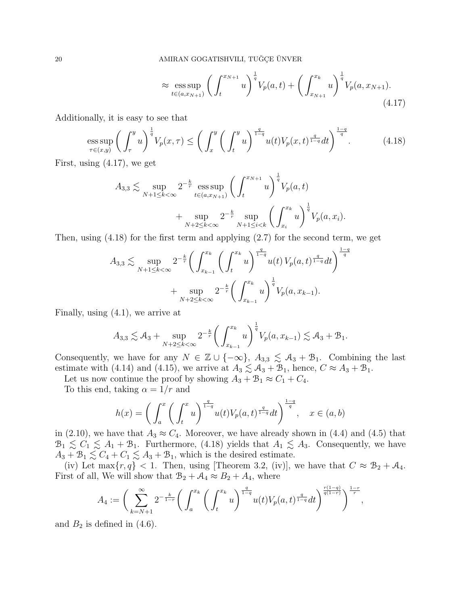$$
\approx \underset{t \in (a,x_{N+1})}{\text{ess sup}} \left( \int_{t}^{x_{N+1}} u \right)^{\frac{1}{q}} V_{p}(a,t) + \left( \int_{x_{N+1}}^{x_{k}} u \right)^{\frac{1}{q}} V_{p}(a,x_{N+1}). \tag{4.17}
$$

Additionally, it is easy to see that

$$
\underset{\tau \in (x,y)}{\text{ess sup}} \left( \int_{\tau}^{y} u \right)^{\frac{1}{q}} V_p(x,\tau) \le \left( \int_{x}^{y} \left( \int_{t}^{y} u \right)^{\frac{q}{1-q}} u(t) V_p(x,t)^{\frac{q}{1-q}} dt \right)^{\frac{1-q}{q}}.
$$
(4.18)

First, using (4.17), we get

$$
A_{3,3} \lesssim \sup_{N+1 \le k < \infty} 2^{-\frac{k}{r}} \operatorname*{ess\,sup}_{t \in (a,x_{N+1})} \left( \int_t^{x_{N+1}} u \right)^{\frac{1}{q}} V_p(a,t) + \sup_{N+2 \le k < \infty} 2^{-\frac{k}{r}} \sup_{N+1 \le i < k} \left( \int_{x_i}^{x_k} u \right)^{\frac{1}{q}} V_p(a,x_i).
$$

Then, using (4.18) for the first term and applying (2.7) for the second term, we get

$$
A_{3,3} \lesssim \sup_{N+1 \le k < \infty} 2^{-\frac{k}{r}} \bigg( \int_{x_{k-1}}^{x_k} \bigg( \int_t^{x_k} u \bigg)^{\frac{q}{1-q}} u(t) \, V_p(a,t)^{\frac{q}{1-q}} dt \bigg)^{\frac{1-q}{q}}
$$
\n
$$
+ \sup_{N+2 \le k < \infty} 2^{-\frac{k}{r}} \bigg( \int_{x_{k-1}}^{x_k} u \bigg)^{\frac{1}{q}} V_p(a, x_{k-1}).
$$

Finally, using (4.1), we arrive at

$$
A_{3,3} \lesssim A_3 + \sup_{N+2 \le k < \infty} 2^{-\frac{k}{r}} \bigg( \int_{x_{k-1}}^{x_k} u \bigg)^{\frac{1}{q}} V_p(a, x_{k-1}) \lesssim A_3 + B_1.
$$

Consequently, we have for any  $N \in \mathbb{Z} \cup \{-\infty\}$ ,  $A_{3,3} \lesssim A_3 + B_1$ . Combining the last estimate with (4.14) and (4.15), we arrive at  $A_3 \lesssim A_3 + B_1$ , hence,  $C \approx A_3 + B_1$ .

Let us now continue the proof by showing  $A_3 + B_1 \approx C_1 + C_4$ .

To this end, taking  $\alpha = 1/r$  and

$$
h(x) = \left(\int_a^x \left(\int_t^x u\right)^{\frac{q}{1-q}} u(t) V_p(a,t)^{\frac{q}{1-q}} dt\right)^{\frac{1-q}{q}}, \quad x \in (a,b)
$$

in (2.10), we have that  $A_3 \approx C_4$ . Moreover, we have already shown in (4.4) and (4.5) that  $\mathcal{B}_1 \lesssim C_1 \lesssim A_1 + B_1$ . Furthermore, (4.18) yields that  $A_1 \lesssim A_3$ . Consequently, we have  $A_3 + B_1 \lesssim C_4 + C_1 \lesssim A_3 + B_1$ , which is the desired estimate.

(iv) Let max $\{r, q\} < 1$ . Then, using [Theorem 3.2, (iv)], we have that  $C \approx \mathcal{B}_2 + \mathcal{A}_4$ . First of all, We will show that  $B_2 + A_4 \approx B_2 + A_4$ , where

$$
A_4 := \bigg( \sum_{k=N+1}^{\infty} 2^{-\frac{k}{1-r}} \bigg( \int_a^{x_k} \bigg( \int_t^{x_k} u \bigg)^{\frac{q}{1-q}} u(t) V_p(a,t)^{\frac{q}{1-q}} dt \bigg)^{\frac{r(1-q)}{q(1-r)}} \bigg)^{\frac{1-r}{r}},
$$

and  $B_2$  is defined in (4.6).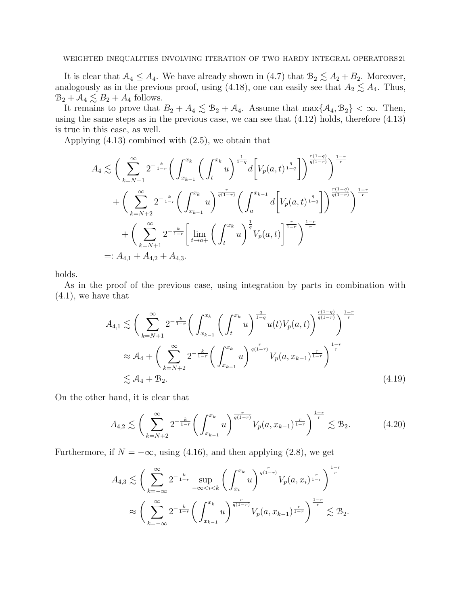It is clear that  $A_4 \leq A_4$ . We have already shown in (4.7) that  $B_2 \lesssim A_2 + B_2$ . Moreover, analogously as in the previous proof, using (4.18), one can easily see that  $A_2 \lesssim A_4$ . Thus,  $B_2 + A_4 \lesssim B_2 + A_4$  follows.

It remains to prove that  $B_2 + A_4 \lesssim B_2 + A_4$ . Assume that  $\max\{\mathcal{A}_4, \mathcal{B}_2\} < \infty$ . Then, using the same steps as in the previous case, we can see that (4.12) holds, therefore (4.13) is true in this case, as well.

Applying (4.13) combined with (2.5), we obtain that

$$
A_4 \lesssim \bigg(\sum_{k=N+1}^{\infty} 2^{-\frac{k}{1-r}} \bigg(\int_{x_{k-1}}^{x_k} \bigg(\int_t^{x_k} u\bigg)^{\frac{1}{1-q}} d\bigg[V_p(a,t)^{\frac{q}{1-q}}\bigg]\bigg)^{\frac{r(1-q)}{q(1-r)}}\bigg)^{\frac{1-r}{r}} + \bigg(\sum_{k=N+2}^{\infty} 2^{-\frac{k}{1-r}} \bigg(\int_{x_{k-1}}^{x_k} u\bigg)^{\frac{r}{q(1-r)}} \bigg(\int_a^{x_{k-1}} d\bigg[V_p(a,t)^{\frac{q}{1-q}}\bigg]\bigg)^{\frac{r(1-q)}{q(1-r)}}\bigg)^{\frac{1-r}{r}} + \bigg(\sum_{k=N+1}^{\infty} 2^{-\frac{k}{1-r}} \bigg[\lim_{t \to a+} \bigg(\int_t^{x_k} u\bigg)^{\frac{1}{q}} V_p(a,t)\bigg]^{\frac{r}{1-r}}\bigg)^{\frac{1-r}{r}}
$$
  
=:  $A_{4,1} + A_{4,2} + A_{4,3}$ .

holds.

As in the proof of the previous case, using integration by parts in combination with (4.1), we have that

$$
A_{4,1} \lesssim \left(\sum_{k=N+1}^{\infty} 2^{-\frac{k}{1-r}} \left(\int_{x_{k-1}}^{x_k} \left(\int_t^{x_k} u\right)^{\frac{q}{1-q}} u(t) V_p(a,t)\right)^{\frac{r(1-q)}{q(1-r)}}\right)^{\frac{1-r}{r}}
$$
  

$$
\approx A_4 + \left(\sum_{k=N+2}^{\infty} 2^{-\frac{k}{1-r}} \left(\int_{x_{k-1}}^{x_k} u\right)^{\frac{r}{q(1-r)}} V_p(a, x_{k-1})^{\frac{r}{1-r}}\right)^{\frac{1-r}{r}}
$$
  

$$
\lesssim A_4 + B_2.
$$
 (4.19)

On the other hand, it is clear that

$$
A_{4,2} \lesssim \left(\sum_{k=N+2}^{\infty} 2^{-\frac{k}{1-r}} \left(\int_{x_{k-1}}^{x_k} u\right)^{\frac{r}{q(1-r)}} V_p(a, x_{k-1})^{\frac{r}{1-r}}\right)^{\frac{1-r}{r}} \lesssim \mathcal{B}_2. \tag{4.20}
$$

Furthermore, if  $N = -\infty$ , using (4.16), and then applying (2.8), we get

$$
A_{4,3} \lesssim \bigg(\sum_{k=-\infty}^{\infty} 2^{-\frac{k}{1-r}} \sup_{-\infty < i < k} \bigg(\int_{x_i}^{x_k} u\bigg)^{\frac{r}{q(1-r)}} V_p(a, x_i)^{\frac{r}{1-r}} \bigg)^{\frac{1-r}{r}} \times \\ \approx \bigg(\sum_{k=-\infty}^{\infty} 2^{-\frac{k}{1-r}} \bigg(\int_{x_{k-1}}^{x_k} u\bigg)^{\frac{r}{q(1-r)}} V_p(a, x_{k-1})^{\frac{r}{1-r}} \bigg)^{\frac{1-r}{r}} \lesssim \mathcal{B}_2.
$$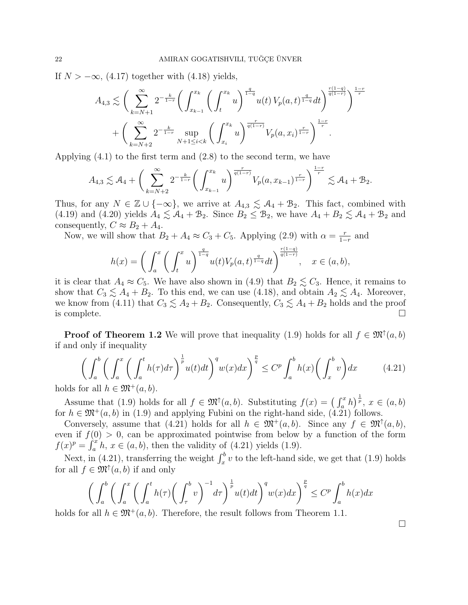If  $N > -\infty$ , (4.17) together with (4.18) yields,

$$
A_{4,3} \lesssim \left(\sum_{k=N+1}^{\infty} 2^{-\frac{k}{1-r}} \left(\int_{x_{k-1}}^{x_k} \left(\int_t^{x_k} u\right)^{\frac{q}{1-q}} u(t) V_p(a,t)^{\frac{q}{1-q}} dt\right)^{\frac{r(1-q)}{q(1-r)}}\right)^{\frac{1-r}{r}}
$$

$$
+ \left(\sum_{k=N+2}^{\infty} 2^{-\frac{k}{1-r}} \sup_{N+1 \le i < k} \left(\int_{x_i}^{x_k} u\right)^{\frac{r}{q(1-r)}} V_p(a,x_i)^{\frac{r}{1-r}}\right)^{\frac{1-r}{r}}.
$$

Applying  $(4.1)$  to the first term and  $(2.8)$  to the second term, we have

$$
A_{4,3} \lesssim A_4 + \left(\sum_{k=N+2}^{\infty} 2^{-\frac{k}{1-r}} \left(\int_{x_{k-1}}^{x_k} u\right)^{\frac{r}{q(1-r)}} V_p(a, x_{k-1})^{\frac{r}{1-r}}\right)^{\frac{1-r}{r}} \lesssim A_4 + B_2.
$$

Thus, for any  $N \in \mathbb{Z} \cup \{-\infty\}$ , we arrive at  $A_{4,3} \lesssim A_4 + B_2$ . This fact, combined with (4.19) and (4.20) yields  $A_4 \lesssim A_4 + B_2$ . Since  $B_2 \leq B_2$ , we have  $A_4 + B_2 \lesssim A_4 + B_2$  and consequently,  $C \approx B_2 + A_4$ .

Now, we will show that  $B_2 + A_4 \approx C_3 + C_5$ . Applying (2.9) with  $\alpha = \frac{r}{1-r}$  $\frac{r}{1-r}$  and

$$
h(x) = \left(\int_a^x \left(\int_t^x u\right)^{\frac{q}{1-q}} u(t) V_p(a,t)^{\frac{q}{1-q}} dt\right)^{\frac{r(1-q)}{q(1-r)}}, \quad x \in (a,b),
$$

it is clear that  $A_4 \approx C_5$ . We have also shown in (4.9) that  $B_2 \lesssim C_3$ . Hence, it remains to show that  $C_3 \lesssim A_4 + B_2$ . To this end, we can use (4.18), and obtain  $A_2 \lesssim A_4$ . Moreover, we know from (4.11) that  $C_3 \leq A_2 + B_2$ . Consequently,  $C_3 \leq A_4 + B_2$  holds and the proof is complete.  $\Box$ 

**Proof of Theorem 1.2** We will prove that inequality (1.9) holds for all  $f \in \mathfrak{M}^{\uparrow}(a, b)$ if and only if inequality

$$
\left(\int_{a}^{b} \left(\int_{a}^{x} \left(\int_{a}^{t} h(\tau)d\tau\right)^{\frac{1}{p}} u(t)dt\right)^{q} w(x)dx\right)^{\frac{p}{q}} \leq C^{p} \int_{a}^{b} h(x) \left(\int_{x}^{b} v\right) dx \tag{4.21}
$$

holds for all  $h \in \mathfrak{M}^+(a, b)$ .

Assume that (1.9) holds for all  $f \in \mathfrak{M}^{\dagger}(a, b)$ . Substituting  $f(x) = (\int_a^x h)^{\frac{1}{p}}, x \in (a, b)$ for  $h \in \mathfrak{M}^+(a, b)$  in (1.9) and applying Fubini on the right-hand side, (4.21) follows.

Conversely, assume that (4.21) holds for all  $h \in \mathfrak{M}^+(a,b)$ . Since any  $f \in \mathfrak{M}^+(a,b)$ , even if  $f(0) > 0$ , can be approximated pointwise from below by a function of the form  $f(x)^p = \int_a^x h, x \in (a, b)$ , then the validity of (4.21) yields (1.9).

Next, in (4.21), transferring the weight  $\int_x^b v$  to the left-hand side, we get that (1.9) holds for all  $f \in \mathfrak{M}^{\uparrow}(a, b)$  if and only

$$
\left(\int_a^b \left(\int_a^x \left(\int_a^t h(\tau) \left(\int_\tau^b v\right)^{-1} d\tau\right)^{\frac{1}{p}} u(t) dt\right)^{q} w(x) dx\right)^{\frac{p}{q}} \le C^p \int_a^b h(x) dx
$$

holds for all  $h \in \mathfrak{M}^+(a, b)$ . Therefore, the result follows from Theorem 1.1.

□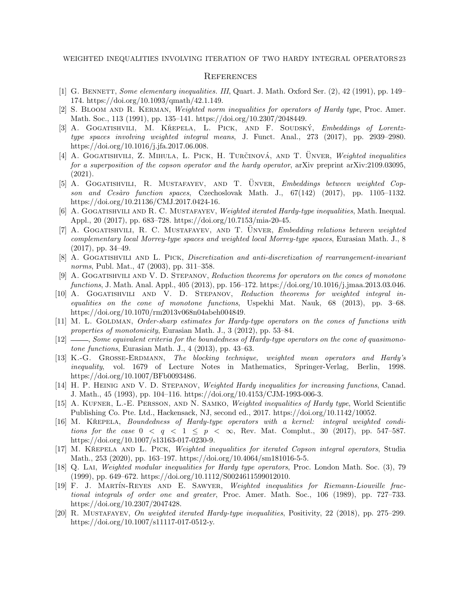#### **REFERENCES**

- [1] G. BENNETT, Some elementary inequalities. III, Quart. J. Math. Oxford Ser. (2), 42 (1991), pp. 149– 174. https://doi.org/10.1093/qmath/42.1.149.
- [2] S. BLOOM AND R. KERMAN, Weighted norm inequalities for operators of Hardy type, Proc. Amer. Math. Soc., 113 (1991), pp. 135–141. https://doi.org/10.2307/2048449.
- [3] A. GOGATISHVILI, M. KŘEPELA, L. PICK, AND F. SOUDSKÝ, Embeddings of Lorentztype spaces involving weighted integral means, J. Funct. Anal., 273 (2017), pp. 2939–2980. https://doi.org/10.1016/j.jfa.2017.06.008.
- [4] A. GOGATISHVILI, Z. MIHULA, L. PICK, H. TURČINOVÁ, AND T. ÜNVER, Weighted inequalities for a superposition of the copson operator and the hardy operator, arXiv preprint arXiv:2109.03095, (2021).
- [5] A. GOGATISHVILI, R. MUSTAFAYEV, AND T. UNVER, Embeddings between weighted Copson and Cesàro function spaces, Czechoslovak Math. J.,  $67(142)$   $(2017)$ , pp. 1105–1132. https://doi.org/10.21136/CMJ.2017.0424-16.
- [6] A. GOGATISHVILI AND R. C. MUSTAFAYEV, Weighted iterated Hardy-type inequalities, Math. Inequal. Appl., 20 (2017), pp. 683–728. https://doi.org/10.7153/mia-20-45.
- [7] A. GOGATISHVILI, R. C. MUSTAFAYEV, AND T. UNVER, Embedding relations between weighted complementary local Morrey-type spaces and weighted local Morrey-type spaces, Eurasian Math. J., 8 (2017), pp. 34–49.
- [8] A. GOGATISHVILI AND L. PICK, Discretization and anti-discretization of rearrangement-invariant norms, Publ. Mat., 47 (2003), pp. 311–358.
- [9] A. Gogatishvili and V. D. Stepanov, Reduction theorems for operators on the cones of monotone functions, J. Math. Anal. Appl., 405 (2013), pp. 156–172. https://doi.org/10.1016/j.jmaa.2013.03.046.
- [10] A. GOGATISHVILI AND V. D. STEPANOV, Reduction theorems for weighted integral inequalities on the cone of monotone functions, Uspekhi Mat. Nauk, 68 (2013), pp. 3–68. https://doi.org/10.1070/rm2013v068n04abeh004849.
- [11] M. L. GOLDMAN, Order-sharp estimates for Hardy-type operators on the cones of functions with properties of monotonicity, Eurasian Math. J., 3 (2012), pp. 53–84.
- [12] , Some equivalent criteria for the boundedness of Hardy-type operators on the cone of quasimonotone functions, Eurasian Math. J., 4 (2013), pp. 43–63.
- [13] K.-G. Grosse-Erdmann, The blocking technique, weighted mean operators and Hardy's inequality, vol. 1679 of Lecture Notes in Mathematics, Springer-Verlag, Berlin, 1998. https://doi.org/10.1007/BFb0093486.
- [14] H. P. HEINIG AND V. D. STEPANOV, Weighted Hardy inequalities for increasing functions, Canad. J. Math., 45 (1993), pp. 104–116. https://doi.org/10.4153/CJM-1993-006-3.
- [15] A. KUFNER, L.-E. PERSSON, AND N. SAMKO, Weighted inequalities of Hardy type, World Scientific Publishing Co. Pte. Ltd., Hackensack, NJ, second ed., 2017. https://doi.org/10.1142/10052.
- [16] M. KŘEPELA, *Boundedness of Hardy-type operators with a kernel: integral weighted condi*tions for the case  $0 < q < 1 \leq p < \infty$ , Rev. Mat. Complut., 30 (2017), pp. 547-587. https://doi.org/10.1007/s13163-017-0230-9.
- [17] M. KŘEPELA AND L. PICK, Weighted inequalities for iterated Copson integral operators, Studia Math., 253 (2020), pp. 163–197. https://doi.org/10.4064/sm181016-5-5.
- [18] Q. Lai, Weighted modular inequalities for Hardy type operators, Proc. London Math. Soc. (3), 79 (1999), pp. 649–672. https://doi.org/10.1112/S0024611599012010.
- [19] F. J. MARTÍN-REYES AND E. SAWYER, Weighted inequalities for Riemann-Liouville fractional integrals of order one and greater, Proc. Amer. Math. Soc., 106 (1989), pp. 727–733. https://doi.org/10.2307/2047428.
- [20] R. Mustafayev, On weighted iterated Hardy-type inequalities, Positivity, 22 (2018), pp. 275–299. https://doi.org/10.1007/s11117-017-0512-y.